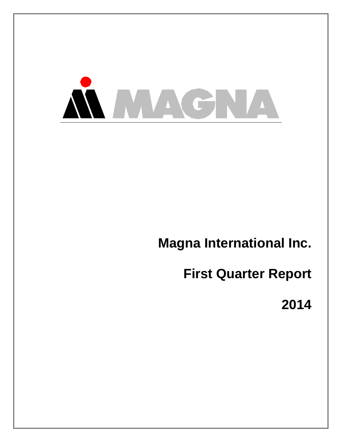

**Magna International Inc.** 

**First Quarter Report** 

**2014**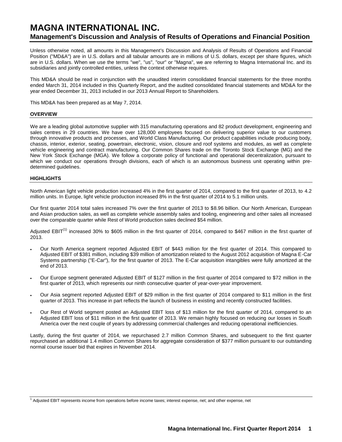# **MAGNA INTERNATIONAL INC. Management's Discussion and Analysis of Results of Operations and Financial Position**

Unless otherwise noted, all amounts in this Management's Discussion and Analysis of Results of Operations and Financial Position ("MD&A") are in U.S. dollars and all tabular amounts are in millions of U.S. dollars, except per share figures, which are in U.S. dollars. When we use the terms "we", "us", "our" or "Magna", we are referring to Magna International Inc. and its subsidiaries and jointly controlled entities, unless the context otherwise requires.

This MD&A should be read in conjunction with the unaudited interim consolidated financial statements for the three months ended March 31, 2014 included in this Quarterly Report, and the audited consolidated financial statements and MD&A for the year ended December 31, 2013 included in our 2013 Annual Report to Shareholders.

This MD&A has been prepared as at May 7, 2014.

### **OVERVIEW**

We are a leading global automotive supplier with 315 manufacturing operations and 82 product development, engineering and sales centres in 29 countries. We have over 128,000 employees focused on delivering superior value to our customers through innovative products and processes, and World Class Manufacturing. Our product capabilities include producing body, chassis, interior, exterior, seating, powertrain, electronic, vision, closure and roof systems and modules, as well as complete vehicle engineering and contract manufacturing. Our Common Shares trade on the Toronto Stock Exchange (MG) and the New York Stock Exchange (MGA). We follow a corporate policy of functional and operational decentralization, pursuant to which we conduct our operations through divisions, each of which is an autonomous business unit operating within predetermined guidelines.

### **HIGHLIGHTS**

North American light vehicle production increased 4% in the first quarter of 2014, compared to the first quarter of 2013, to 4.2 million units. In Europe, light vehicle production increased 8% in the first quarter of 2014 to 5.1 million units.

Our first quarter 2014 total sales increased 7% over the first quarter of 2013 to \$8.96 billion. Our North American, European and Asian production sales, as well as complete vehicle assembly sales and tooling, engineering and other sales all increased over the comparable quarter while Rest of World production sales declined \$54 million.

Adjusted EBIT<sup>(1)</sup> increased 30% to \$605 million in the first quarter of 2014, compared to \$467 million in the first quarter of 2013.

- Our North America segment reported Adjusted EBIT of \$443 million for the first quarter of 2014. This compared to Adjusted EBIT of \$381 million, including \$39 million of amortization related to the August 2012 acquisition of Magna E-Car Systems partnership ("E-Car"), for the first quarter of 2013. The E-Car acquisition intangibles were fully amortized at the end of 2013.
- Our Europe segment generated Adjusted EBIT of \$127 million in the first quarter of 2014 compared to \$72 million in the first quarter of 2013, which represents our ninth consecutive quarter of year-over-year improvement.
- Our Asia segment reported Adjusted EBIT of \$29 million in the first quarter of 2014 compared to \$11 million in the first quarter of 2013. This increase in part reflects the launch of business in existing and recently constructed facilities.
- Our Rest of World segment posted an Adjusted EBIT loss of \$13 million for the first quarter of 2014, compared to an Adjusted EBIT loss of \$11 million in the first quarter of 2013. We remain highly focused on reducing our losses in South America over the next couple of years by addressing commercial challenges and reducing operational inefficiencies.

Lastly, during the first quarter of 2014, we repurchased 2.7 million Common Shares, and subsequent to the first quarter repurchased an additional 1.4 million Common Shares for aggregate consideration of \$377 million pursuant to our outstanding normal course issuer bid that expires in November 2014.

<sup>1</sup> Adjusted EBIT represents income from operations before income taxes; interest expense, net; and other expense, net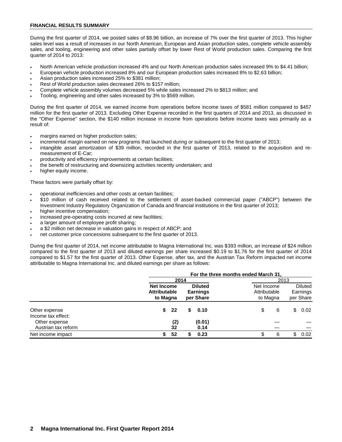### **FINANCIAL RESULTS SUMMARY**

During the first quarter of 2014, we posted sales of \$8.96 billion, an increase of 7% over the first quarter of 2013. This higher sales level was a result of increases in our North American, European and Asian production sales, complete vehicle assembly sales, and tooling, engineering and other sales partially offset by lower Rest of World production sales. Comparing the first quarter of 2014 to 2013:

- North American vehicle production increased 4% and our North American production sales increased 9% to \$4.41 billion;
- European vehicle production increased 8% and our European production sales increased 8% to \$2.63 billion;
- Asian production sales increased 25% to \$381 million;
- Rest of World production sales decreased 26% to \$157 million;
- Complete vehicle assembly volumes decreased 5% while sales increased 2% to \$813 million; and
- Tooling, engineering and other sales increased by 3% to \$569 million.

During the first quarter of 2014, we earned income from operations before income taxes of \$581 million compared to \$457 million for the first quarter of 2013. Excluding Other Expense recorded in the first quarters of 2014 and 2013, as discussed in the "Other Expense" section, the \$140 million increase in income from operations before income taxes was primarily as a result of:

- margins earned on higher production sales;
- incremental margin earned on new programs that launched during or subsequent to the first quarter of 2013;
- intangible asset amortization of \$39 million, recorded in the first quarter of 2013, related to the acquisition and remeasurement of E-Car;
- productivity and efficiency improvements at certain facilities;
- the benefit of restructuring and downsizing activities recently undertaken; and
- higher equity income.

These factors were partially offset by:

- operational inefficiencies and other costs at certain facilities;
- \$10 million of cash received related to the settlement of asset-backed commercial paper ("ABCP") between the Investment Industry Regulatory Organization of Canada and financial institutions in the first quarter of 2013;
- higher incentive compensation;
- increased pre-operating costs incurred at new facilities;
- a larger amount of employee profit sharing;
- a \$2 million net decrease in valuation gains in respect of ABCP; and
- net customer price concessions subsequent to the first quarter of 2013.

During the first quarter of 2014, net income attributable to Magna International Inc. was \$393 million, an increase of \$24 million compared to the first quarter of 2013 and diluted earnings per share increased \$0.19 to \$1.76 for the first quarter of 2014 compared to \$1.57 for the first quarter of 2013. Other Expense, after tax, and the Austrian Tax Reform impacted net income attributable to Magna International Inc. and diluted earnings per share as follows:

|                                      | For the three months ended March 31,                 |      |   |                                                |                                        |      |                                         |
|--------------------------------------|------------------------------------------------------|------|---|------------------------------------------------|----------------------------------------|------|-----------------------------------------|
|                                      |                                                      | 2014 |   |                                                |                                        | 2013 |                                         |
|                                      | <b>Net Income</b><br><b>Attributable</b><br>to Magna |      |   | <b>Diluted</b><br><b>Earnings</b><br>per Share | Net Income<br>Attributable<br>to Magna |      | <b>Diluted</b><br>Earnings<br>per Share |
| Other expense<br>Income tax effect:  | \$<br>- 22                                           |      | S | 0.10                                           | \$<br>6                                | \$   | 0.02                                    |
| Other expense<br>Austrian tax reform | (2)<br>32                                            |      |   | (0.01)<br>0.14                                 |                                        |      |                                         |
| Net income impact                    | 52<br>S                                              |      |   | 0.23                                           | 6                                      | \$   | 0.02                                    |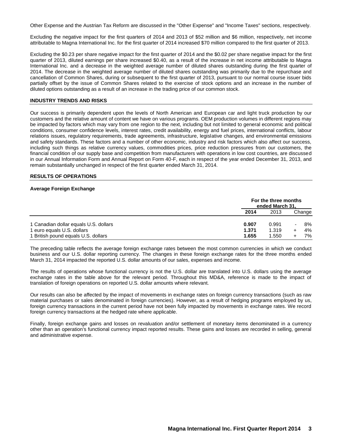Other Expense and the Austrian Tax Reform are discussed in the "Other Expense" and "Income Taxes" sections, respectively.

Excluding the negative impact for the first quarters of 2014 and 2013 of \$52 million and \$6 million, respectively, net income attributable to Magna International Inc. for the first quarter of 2014 increased \$70 million compared to the first quarter of 2013.

Excluding the \$0.23 per share negative impact for the first quarter of 2014 and the \$0.02 per share negative impact for the first quarter of 2013, diluted earnings per share increased \$0.40, as a result of the increase in net income attributable to Magna International Inc. and a decrease in the weighted average number of diluted shares outstanding during the first quarter of 2014. The decrease in the weighted average number of diluted shares outstanding was primarily due to the repurchase and cancellation of Common Shares, during or subsequent to the first quarter of 2013, pursuant to our normal course issuer bids partially offset by the issue of Common Shares related to the exercise of stock options and an increase in the number of diluted options outstanding as a result of an increase in the trading price of our common stock.

#### **INDUSTRY TRENDS AND RISKS**

Our success is primarily dependent upon the levels of North American and European car and light truck production by our customers and the relative amount of content we have on various programs. OEM production volumes in different regions may be impacted by factors which may vary from one region to the next, including but not limited to general economic and political conditions, consumer confidence levels, interest rates, credit availability, energy and fuel prices, international conflicts, labour relations issues, regulatory requirements, trade agreements, infrastructure, legislative changes, and environmental emissions and safety standards. These factors and a number of other economic, industry and risk factors which also affect our success, including such things as relative currency values, commodities prices, price reduction pressures from our customers, the financial condition of our supply base and competition from manufacturers with operations in low cost countries, are discussed in our Annual Information Form and Annual Report on Form 40-F, each in respect of the year ended December 31, 2013, and remain substantially unchanged in respect of the first quarter ended March 31, 2014.

### **RESULTS OF OPERATIONS**

#### **Average Foreign Exchange**

|                                       |       | For the three months<br>ended March 31, |        |  |
|---------------------------------------|-------|-----------------------------------------|--------|--|
|                                       | 2014  | 2013                                    | Change |  |
| 1 Canadian dollar equals U.S. dollars | 0.907 | 0.991                                   | 8%     |  |
| 1 euro equals U.S. dollars            | 1.371 | 1.319                                   | 4%     |  |
| 1 British pound equals U.S. dollars   | 1.655 | 1.550                                   | 7%     |  |

The preceding table reflects the average foreign exchange rates between the most common currencies in which we conduct business and our U.S. dollar reporting currency. The changes in these foreign exchange rates for the three months ended March 31, 2014 impacted the reported U.S. dollar amounts of our sales, expenses and income.

The results of operations whose functional currency is not the U.S. dollar are translated into U.S. dollars using the average exchange rates in the table above for the relevant period. Throughout this MD&A, reference is made to the impact of translation of foreign operations on reported U.S. dollar amounts where relevant.

Our results can also be affected by the impact of movements in exchange rates on foreign currency transactions (such as raw material purchases or sales denominated in foreign currencies). However, as a result of hedging programs employed by us, foreign currency transactions in the current period have not been fully impacted by movements in exchange rates. We record foreign currency transactions at the hedged rate where applicable.

Finally, foreign exchange gains and losses on revaluation and/or settlement of monetary items denominated in a currency other than an operation's functional currency impact reported results. These gains and losses are recorded in selling, general and administrative expense.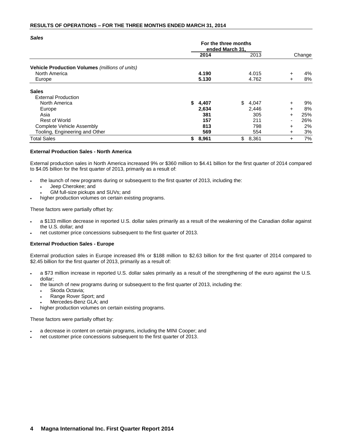### **RESULTS OF OPERATIONS – FOR THE THREE MONTHS ENDED MARCH 31, 2014**

| <b>Sales</b>                                   |                                         |       |    |       |        |        |
|------------------------------------------------|-----------------------------------------|-------|----|-------|--------|--------|
|                                                | For the three months<br>ended March 31, |       |    |       |        |        |
|                                                |                                         | 2014  |    | 2013  |        | Change |
| Vehicle Production Volumes (millions of units) |                                         |       |    |       |        |        |
| North America                                  |                                         | 4.190 |    | 4.015 | $\div$ | 4%     |
| Europe                                         |                                         | 5.130 |    | 4.762 | ÷      | 8%     |
| <b>Sales</b>                                   |                                         |       |    |       |        |        |
| <b>External Production</b>                     |                                         |       |    |       |        |        |
| North America                                  | S.                                      | 4,407 | \$ | 4,047 | $\pm$  | 9%     |
| Europe                                         |                                         | 2,634 |    | 2,446 | $\pm$  | 8%     |
| Asia                                           |                                         | 381   |    | 305   | $\pm$  | 25%    |
| <b>Rest of World</b>                           |                                         | 157   |    | 211   | ۰      | 26%    |
| <b>Complete Vehicle Assembly</b>               |                                         | 813   |    | 798   | $\pm$  | 2%     |
| Tooling, Engineering and Other                 |                                         | 569   |    | 554   | $\pm$  | 3%     |
| <b>Total Sales</b>                             | \$                                      | 8,961 | \$ | 8,361 | $\pm$  | 7%     |

### **External Production Sales - North America**

External production sales in North America increased 9% or \$360 million to \$4.41 billion for the first quarter of 2014 compared to \$4.05 billion for the first quarter of 2013, primarily as a result of:

- the launch of new programs during or subsequent to the first quarter of 2013, including the:
	- Jeep Cherokee; and
	- GM full-size pickups and SUVs; and
- higher production volumes on certain existing programs.

These factors were partially offset by:

- a \$133 million decrease in reported U.S. dollar sales primarily as a result of the weakening of the Canadian dollar against the U.S. dollar; and
- net customer price concessions subsequent to the first quarter of 2013.

### **External Production Sales - Europe**

External production sales in Europe increased 8% or \$188 million to \$2.63 billion for the first quarter of 2014 compared to \$2.45 billion for the first quarter of 2013, primarily as a result of:

- a \$73 million increase in reported U.S. dollar sales primarily as a result of the strengthening of the euro against the U.S. dollar;
- the launch of new programs during or subsequent to the first quarter of 2013, including the:
	- Skoda Octavia;
	- Range Rover Sport; and
	- Mercedes-Benz GLA; and
- higher production volumes on certain existing programs.

These factors were partially offset by:

- a decrease in content on certain programs, including the MINI Cooper; and
- net customer price concessions subsequent to the first quarter of 2013.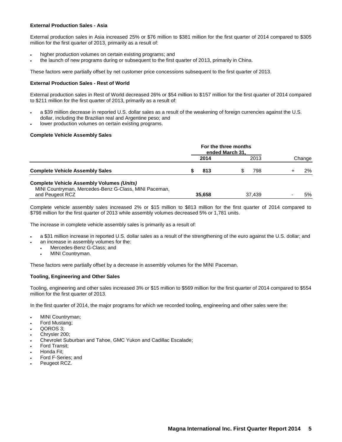### **External Production Sales - Asia**

External production sales in Asia increased 25% or \$76 million to \$381 million for the first quarter of 2014 compared to \$305 million for the first quarter of 2013, primarily as a result of:

- higher production volumes on certain existing programs; and
- the launch of new programs during or subsequent to the first quarter of 2013, primarily in China.

These factors were partially offset by net customer price concessions subsequent to the first quarter of 2013.

### **External Production Sales - Rest of World**

External production sales in Rest of World decreased 26% or \$54 million to \$157 million for the first quarter of 2014 compared to \$211 million for the first quarter of 2013, primarily as a result of:

- a \$39 million decrease in reported U.S. dollar sales as a result of the weakening of foreign currencies against the U.S. dollar, including the Brazilian real and Argentine peso; and
- lower production volumes on certain existing programs.

### **Complete Vehicle Assembly Sales**

|                                                                                                                              | For the three months<br>ended March 31, |        |  |        |  |        |
|------------------------------------------------------------------------------------------------------------------------------|-----------------------------------------|--------|--|--------|--|--------|
|                                                                                                                              |                                         | 2014   |  | 2013   |  | Change |
| <b>Complete Vehicle Assembly Sales</b>                                                                                       |                                         | 813    |  | 798    |  | 2%     |
| <b>Complete Vehicle Assembly Volumes (Units)</b><br>MINI Countryman, Mercedes-Benz G-Class, MINI Paceman,<br>and Peugeot RCZ |                                         | 35,658 |  | 37.439 |  | 5%     |

Complete vehicle assembly sales increased 2% or \$15 million to \$813 million for the first quarter of 2014 compared to \$798 million for the first quarter of 2013 while assembly volumes decreased 5% or 1,781 units.

The increase in complete vehicle assembly sales is primarily as a result of:

- a \$31 million increase in reported U.S. dollar sales as a result of the strengthening of the euro against the U.S. dollar; and
- an increase in assembly volumes for the:
	- Mercedes-Benz G-Class; and
	- MINI Countryman.

These factors were partially offset by a decrease in assembly volumes for the MINI Paceman.

### **Tooling, Engineering and Other Sales**

Tooling, engineering and other sales increased 3% or \$15 million to \$569 million for the first quarter of 2014 compared to \$554 million for the first quarter of 2013.

In the first quarter of 2014, the major programs for which we recorded tooling, engineering and other sales were the:

- MINI Countryman;
- Ford Mustang;
- QOROS 3;
- Chrysler 200;
- Chevrolet Suburban and Tahoe, GMC Yukon and Cadillac Escalade;
- Ford Transit;
- Honda Fit;
- Ford F-Series; and
- Peugeot RCZ.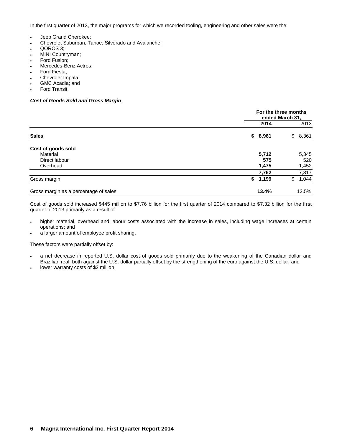In the first quarter of 2013, the major programs for which we recorded tooling, engineering and other sales were the:

- Jeep Grand Cherokee;
- Chevrolet Suburban, Tahoe, Silverado and Avalanche;
- QOROS 3;
- MINI Countryman;
- Ford Fusion;
- Mercedes-Benz Actros;
- Ford Fiesta;
- Chevrolet Impala;
- GMC Acadia; and Ford Transit.

# *Cost of Goods Sold and Gross Margin*

|                                       |             | For the three months<br>ended March 31, |       |  |  |  |
|---------------------------------------|-------------|-----------------------------------------|-------|--|--|--|
|                                       |             | 2014                                    | 2013  |  |  |  |
| <b>Sales</b>                          | \$8,961     | \$                                      | 8,361 |  |  |  |
| Cost of goods sold                    |             |                                         |       |  |  |  |
| Material                              | 5,712       |                                         | 5,345 |  |  |  |
| Direct labour                         |             | 575                                     | 520   |  |  |  |
| Overhead                              | 1,475       |                                         | 1,452 |  |  |  |
|                                       |             | 7,762                                   | 7,317 |  |  |  |
| Gross margin                          | \$<br>1,199 | \$                                      | 1,044 |  |  |  |
| Gross margin as a percentage of sales | 13.4%       |                                         | 12.5% |  |  |  |

Cost of goods sold increased \$445 million to \$7.76 billion for the first quarter of 2014 compared to \$7.32 billion for the first quarter of 2013 primarily as a result of:

- higher material, overhead and labour costs associated with the increase in sales, including wage increases at certain operations; and
- a larger amount of employee profit sharing.

These factors were partially offset by:

- a net decrease in reported U.S. dollar cost of goods sold primarily due to the weakening of the Canadian dollar and Brazilian real, both against the U.S. dollar partially offset by the strengthening of the euro against the U.S. dollar; and
- lower warranty costs of \$2 million.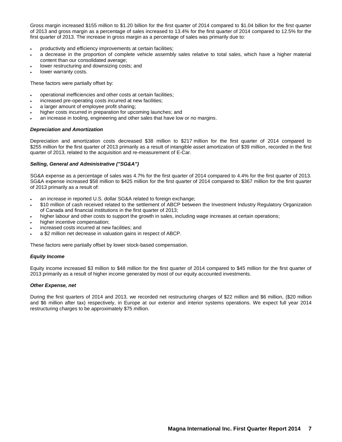Gross margin increased \$155 million to \$1.20 billion for the first quarter of 2014 compared to \$1.04 billion for the first quarter of 2013 and gross margin as a percentage of sales increased to 13.4% for the first quarter of 2014 compared to 12.5% for the first quarter of 2013. The increase in gross margin as a percentage of sales was primarily due to:

- productivity and efficiency improvements at certain facilities;
- a decrease in the proportion of complete vehicle assembly sales relative to total sales, which have a higher material content than our consolidated average;
- lower restructuring and downsizing costs; and
- lower warranty costs.

These factors were partially offset by:

- operational inefficiencies and other costs at certain facilities;
- increased pre-operating costs incurred at new facilities;
- a larger amount of employee profit sharing;
- higher costs incurred in preparation for upcoming launches; and
- an increase in tooling, engineering and other sales that have low or no margins.

### *Depreciation and Amortization*

Depreciation and amortization costs decreased \$38 million to \$217 million for the first quarter of 2014 compared to \$255 million for the first quarter of 2013 primarily as a result of intangible asset amortization of \$39 million, recorded in the first quarter of 2013, related to the acquisition and re-measurement of E-Car.

### *Selling, General and Administrative ("SG&A")*

SG&A expense as a percentage of sales was 4.7% for the first quarter of 2014 compared to 4.4% for the first quarter of 2013. SG&A expense increased \$58 million to \$425 million for the first quarter of 2014 compared to \$367 million for the first quarter of 2013 primarily as a result of:

- an increase in reported U.S. dollar SG&A related to foreign exchange;
- \$10 million of cash received related to the settlement of ABCP between the Investment Industry Regulatory Organization of Canada and financial institutions in the first quarter of 2013;
- higher labour and other costs to support the growth in sales, including wage increases at certain operations;
- higher incentive compensation;
- increased costs incurred at new facilities; and
- a \$2 million net decrease in valuation gains in respect of ABCP.

These factors were partially offset by lower stock-based compensation.

### *Equity Income*

Equity income increased \$3 million to \$48 million for the first quarter of 2014 compared to \$45 million for the first quarter of 2013 primarily as a result of higher income generated by most of our equity accounted investments.

### *Other Expense, net*

During the first quarters of 2014 and 2013, we recorded net restructuring charges of \$22 million and \$6 million, (\$20 million and \$6 million after tax) respectively, in Europe at our exterior and interior systems operations. We expect full year 2014 restructuring charges to be approximately \$75 million.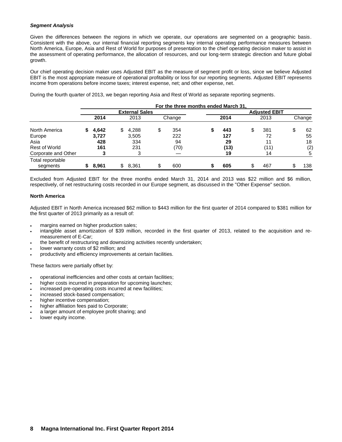### *Segment Analysis*

Given the differences between the regions in which we operate, our operations are segmented on a geographic basis. Consistent with the above, our internal financial reporting segments key internal operating performance measures between North America, Europe, Asia and Rest of World for purposes of presentation to the chief operating decision maker to assist in the assessment of operating performance, the allocation of resources, and our long-term strategic direction and future global growth.

Our chief operating decision maker uses Adjusted EBIT as the measure of segment profit or loss, since we believe Adjusted EBIT is the most appropriate measure of operational profitability or loss for our reporting segments. Adjusted EBIT represents income from operations before income taxes; interest expense, net; and other expense, net.

During the fourth quarter of 2013, we began reporting Asia and Rest of World as separate reporting segments.

|                              | For the three months ended March 31 |       |     |                       |    |        |  |      |    |                      |     |        |  |  |  |
|------------------------------|-------------------------------------|-------|-----|-----------------------|----|--------|--|------|----|----------------------|-----|--------|--|--|--|
|                              |                                     |       |     | <b>External Sales</b> |    |        |  |      |    | <b>Adiusted EBIT</b> |     |        |  |  |  |
|                              |                                     | 2014  |     | 2013                  |    | Change |  | 2014 |    | 2013                 |     | Change |  |  |  |
| North America                |                                     | 4,642 | \$. | 4,288                 | \$ | 354    |  | 443  | S  | 381                  | \$. | 62     |  |  |  |
| Europe                       |                                     | 3.727 |     | 3,505                 |    | 222    |  | 127  |    | 72                   |     | 55     |  |  |  |
| Asia                         |                                     | 428   |     | 334                   |    | 94     |  | 29   |    | 11                   |     | 18     |  |  |  |
| Rest of World                |                                     | 161   |     | 231                   |    | (70)   |  | (13) |    | (11)                 |     | (2)    |  |  |  |
| Corporate and Other          |                                     |       |     | 3                     |    |        |  | 19   |    | 14                   |     | 5      |  |  |  |
| Total reportable<br>segments |                                     | 8.961 | \$. | 8.361                 | \$ | 600    |  | 605  | \$ | 467                  |     | 138    |  |  |  |

Excluded from Adjusted EBIT for the three months ended March 31, 2014 and 2013 was \$22 million and \$6 million, respectively, of net restructuring costs recorded in our Europe segment, as discussed in the "Other Expense" section.

### **North America**

Adjusted EBIT in North America increased \$62 million to \$443 million for the first quarter of 2014 compared to \$381 million for the first quarter of 2013 primarily as a result of:

- margins earned on higher production sales;
- intangible asset amortization of \$39 million, recorded in the first quarter of 2013, related to the acquisition and remeasurement of E-Car;
- the benefit of restructuring and downsizing activities recently undertaken;
- lower warranty costs of \$2 million; and
- productivity and efficiency improvements at certain facilities.

These factors were partially offset by:

- operational inefficiencies and other costs at certain facilities;
- higher costs incurred in preparation for upcoming launches;
- increased pre-operating costs incurred at new facilities;
- increased stock-based compensation;
- higher incentive compensation;
- higher affiliation fees paid to Corporate;
- a larger amount of employee profit sharing; and
- lower equity income.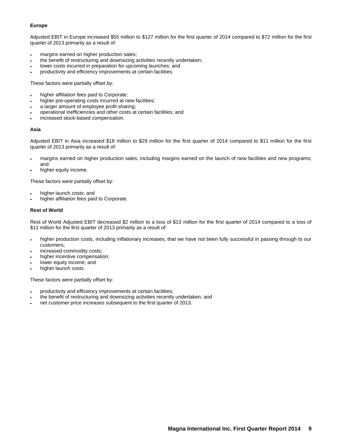### **Europe**

Adjusted EBIT in Europe increased \$55 million to \$127 million for the first quarter of 2014 compared to \$72 million for the first quarter of 2013 primarily as a result of:

- margins earned on higher production sales;
- the benefit of restructuring and downsizing activities recently undertaken;
- lower costs incurred in preparation for upcoming launches; and
- productivity and efficiency improvements at certain facilities.

These factors were partially offset by:

- higher affiliation fees paid to Corporate;
- higher pre-operating costs incurred at new facilities;
- a larger amount of employee profit sharing;
- operational inefficiencies and other costs at certain facilities; and
- increased stock-based compensation.

### **Asia**

Adjusted EBIT in Asia increased \$18 million to \$29 million for the first quarter of 2014 compared to \$11 million for the first quarter of 2013 primarily as a result of:

- margins earned on higher production sales, including margins earned on the launch of new facilities and new programs; and
- higher equity income.

These factors were partially offset by:

- higher launch costs; and
- higher affiliation fees paid to Corporate.

### **Rest of World**

Rest of World Adjusted EBIT decreased \$2 million to a loss of \$13 million for the first quarter of 2014 compared to a loss of \$11 million for the first quarter of 2013 primarily as a result of:

- higher production costs, including inflationary increases, that we have not been fully successful in passing through to our customers;
- increased commodity costs;
- higher incentive compensation;
- lower equity income; and
- higher launch costs.

These factors were partially offset by:

- productivity and efficiency improvements at certain facilities;
- the benefit of restructuring and downsizing activities recently undertaken; and
- net customer price increases subsequent to the first quarter of 2013.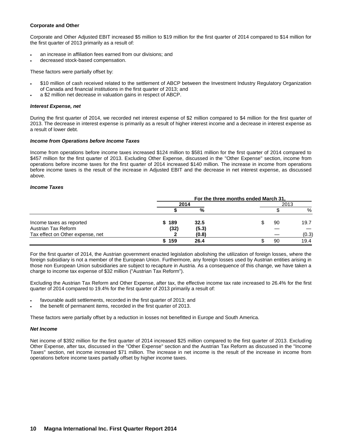### **Corporate and Other**

Corporate and Other Adjusted EBIT increased \$5 million to \$19 million for the first quarter of 2014 compared to \$14 million for the first quarter of 2013 primarily as a result of:

- an increase in affiliation fees earned from our divisions; and
- decreased stock-based compensation.

These factors were partially offset by:

- \$10 million of cash received related to the settlement of ABCP between the Investment Industry Regulatory Organization of Canada and financial institutions in the first quarter of 2013; and
- a \$2 million net decrease in valuation gains in respect of ABCP.

### *Interest Expense, net*

During the first quarter of 2014, we recorded net interest expense of \$2 million compared to \$4 million for the first quarter of 2013. The decrease in interest expense is primarily as a result of higher interest income and a decrease in interest expense as a result of lower debt.

### *Income from Operations before Income Taxes*

Income from operations before income taxes increased \$124 million to \$581 million for the first quarter of 2014 compared to \$457 million for the first quarter of 2013. Excluding Other Expense, discussed in the "Other Expense" section, income from operations before income taxes for the first quarter of 2014 increased \$140 million. The increase in income from operations before income taxes is the result of the increase in Adjusted EBIT and the decrease in net interest expense, as discussed above.

### *Income Taxes*

|                                  |       | For the three months ended March 31. |      |       |  |
|----------------------------------|-------|--------------------------------------|------|-------|--|
|                                  | 2014  |                                      | 2013 |       |  |
|                                  |       | %                                    |      | %     |  |
| Income taxes as reported         | \$189 | 32.5                                 | 90   | 19.7  |  |
| Austrian Tax Reform              | (32)  | (5.3)                                |      |       |  |
| Tax effect on Other expense, net |       | (0.8)                                |      | (0.3) |  |
|                                  | 159   | 26.4                                 | 90   | 19.4  |  |

For the first quarter of 2014, the Austrian government enacted legislation abolishing the utilization of foreign losses, where the foreign subsidiary is not a member of the European Union. Furthermore, any foreign losses used by Austrian entities arising in those non European Union subsidiaries are subject to recapture in Austria. As a consequence of this change, we have taken a charge to income tax expense of \$32 million ("Austrian Tax Reform").

Excluding the Austrian Tax Reform and Other Expense, after tax, the effective income tax rate increased to 26.4% for the first quarter of 2014 compared to 19.4% for the first quarter of 2013 primarily a result of:

- favourable audit settlements, recorded in the first quarter of 2013; and
- the benefit of permanent items, recorded in the first quarter of 2013.

These factors were partially offset by a reduction in losses not benefitted in Europe and South America.

### *Net Income*

Net income of \$392 million for the first quarter of 2014 increased \$25 million compared to the first quarter of 2013. Excluding Other Expense, after tax, discussed in the "Other Expense" section and the Austrian Tax Reform as discussed in the "Income Taxes" section, net income increased \$71 million. The increase in net income is the result of the increase in income from operations before income taxes partially offset by higher income taxes.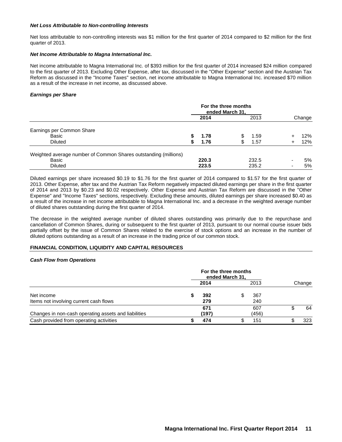### *Net Loss Attributable to Non-controlling Interests*

Net loss attributable to non-controlling interests was \$1 million for the first quarter of 2014 compared to \$2 million for the first quarter of 2013.

### *Net Income Attributable to Magna International Inc.*

Net income attributable to Magna International Inc. of \$393 million for the first quarter of 2014 increased \$24 million compared to the first quarter of 2013. Excluding Other Expense, after tax, discussed in the "Other Expense" section and the Austrian Tax Reform as discussed in the "Income Taxes" section, net income attributable to Magna International Inc. increased \$70 million as a result of the increase in net income, as discussed above.

### *Earnings per Share*

|                                                                 | For the three months<br>ended March 31. |       |    |       |                          |        |
|-----------------------------------------------------------------|-----------------------------------------|-------|----|-------|--------------------------|--------|
|                                                                 |                                         | 2014  |    | 2013  |                          | Change |
| Earnings per Common Share                                       |                                         |       |    |       |                          |        |
| Basic                                                           |                                         | 1.78  |    | 1.59  | ÷                        | 12%    |
| <b>Diluted</b>                                                  |                                         | 1.76  | \$ | 1.57  |                          | 12%    |
| Weighted average number of Common Shares outstanding (millions) |                                         |       |    |       |                          |        |
| Basic                                                           |                                         | 220.3 |    | 232.5 | $\overline{\phantom{0}}$ | 5%     |
| <b>Diluted</b>                                                  |                                         | 223.5 |    | 235.2 | -                        | 5%     |

Diluted earnings per share increased \$0.19 to \$1.76 for the first quarter of 2014 compared to \$1.57 for the first quarter of 2013. Other Expense, after tax and the Austrian Tax Reform negatively impacted diluted earnings per share in the first quarter of 2014 and 2013 by \$0.23 and \$0.02 respectively. Other Expense and Austrian Tax Reform are discussed in the "Other Expense" and "Income Taxes" sections, respectively. Excluding these amounts, diluted earnings per share increased \$0.40 as a result of the increase in net income attributable to Magna International Inc. and a decrease in the weighted average number of diluted shares outstanding during the first quarter of 2014.

The decrease in the weighted average number of diluted shares outstanding was primarily due to the repurchase and cancellation of Common Shares, during or subsequent to the first quarter of 2013, pursuant to our normal course issuer bids partially offset by the issue of Common Shares related to the exercise of stock options and an increase in the number of diluted options outstanding as a result of an increase in the trading price of our common stock.

### **FINANCIAL CONDITION, LIQUIDITY AND CAPITAL RESOURCES**

### *Cash Flow from Operations*

|                                                      | For the three months<br>ended March 31. |              |  |              |        |  |
|------------------------------------------------------|-----------------------------------------|--------------|--|--------------|--------|--|
|                                                      |                                         | 2014         |  | 2013         | Change |  |
| Net income<br>Items not involving current cash flows |                                         | 392<br>279   |  | 367<br>240   |        |  |
| Changes in non-cash operating assets and liabilities |                                         | 671<br>(197) |  | 607<br>(456) | 64     |  |
| Cash provided from operating activities              |                                         | 474          |  | 151          | 323    |  |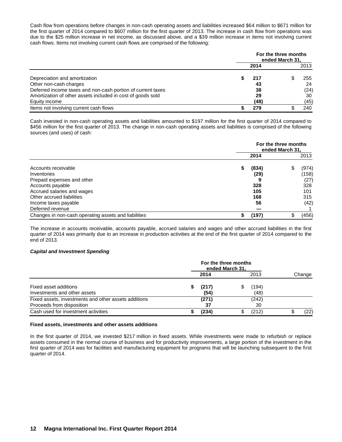Cash flow from operations before changes in non-cash operating assets and liabilities increased \$64 million to \$671 million for the first quarter of 2014 compared to \$607 million for the first quarter of 2013. The increase in cash flow from operations was due to the \$25 million increase in net income, as discussed above, and a \$39 million increase in items not involving current cash flows. Items not involving current cash flows are comprised of the following:

|                                                             | For the three months<br>ended March 31, |  |      |  |  |
|-------------------------------------------------------------|-----------------------------------------|--|------|--|--|
|                                                             | 2014                                    |  | 2013 |  |  |
| Depreciation and amortization                               | 217                                     |  | 255  |  |  |
| Other non-cash charges                                      | 43                                      |  | 24   |  |  |
| Deferred income taxes and non-cash portion of current taxes | 38                                      |  | (24) |  |  |
| Amortization of other assets included in cost of goods sold | 29                                      |  | 30   |  |  |
| Equity income                                               | (48)                                    |  | (45) |  |  |
| Items not involving current cash flows                      | 279                                     |  | 240  |  |  |

Cash invested in non-cash operating assets and liabilities amounted to \$197 million for the first quarter of 2014 compared to \$456 million for the first quarter of 2013. The change in non-cash operating assets and liabilities is comprised of the following sources (and uses) of cash:

|                                                      | For the three months<br>ended March 31. |            |  |               |  |
|------------------------------------------------------|-----------------------------------------|------------|--|---------------|--|
|                                                      |                                         | 2014       |  | 2013          |  |
| Accounts receivable                                  | S                                       | (834)      |  | (974)         |  |
| Inventories<br>Prepaid expenses and other            |                                         | (29)       |  | (158)<br>(27) |  |
| Accounts payable<br>Accrued salaries and wages       |                                         | 328<br>105 |  | 328<br>101    |  |
| Other accrued liabilities                            |                                         | 168        |  | 315           |  |
| Income taxes payable<br>Deferred revenue             |                                         | 56         |  | (42)          |  |
| Changes in non-cash operating assets and liabilities |                                         | (197)      |  | (456)         |  |

The increase in accounts receivable, accounts payable, accrued salaries and wages and other accrued liabilities in the first quarter of 2014 was primarily due to an increase in production activities at the end of the first quarter of 2014 compared to the end of 2013.

### *Capital and Investment Spending*

|                                                                                   | For the three months<br>ended March 31. |               |   |               |        |  |
|-----------------------------------------------------------------------------------|-----------------------------------------|---------------|---|---------------|--------|--|
|                                                                                   |                                         | 2014          |   | 2013          | Change |  |
| Fixed asset additions<br>Investments and other assets                             |                                         | (217)<br>(54) | S | (194)<br>(48) |        |  |
| Fixed assets, investments and other assets additions<br>Proceeds from disposition |                                         | (271)<br>37   |   | (242)<br>30   |        |  |
| Cash used for investment activities                                               |                                         | (234)         |   | (212)         | (22)   |  |

### **Fixed assets, investments and other assets additions**

In the first quarter of 2014, we invested \$217 million in fixed assets. While investments were made to refurbish or replace assets consumed in the normal course of business and for productivity improvements, a large portion of the investment in the first quarter of 2014 was for facilities and manufacturing equipment for programs that will be launching subsequent to the first quarter of 2014.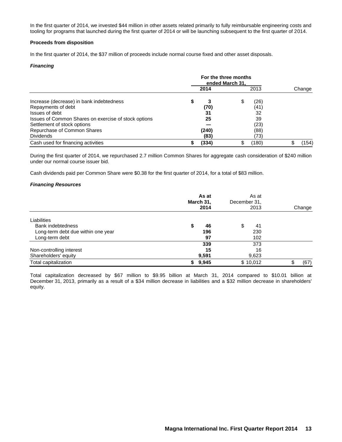In the first quarter of 2014, we invested \$44 million in other assets related primarily to fully reimbursable engineering costs and tooling for programs that launched during the first quarter of 2014 or will be launching subsequent to the first quarter of 2014.

### **Proceeds from disposition**

In the first quarter of 2014, the \$37 million of proceeds include normal course fixed and other asset disposals.

### *Financing*

|                                                      |  | 2014  | 2013        | Change |
|------------------------------------------------------|--|-------|-------------|--------|
| Increase (decrease) in bank indebtedness             |  |       | \$<br>(26)  |        |
| Repayments of debt                                   |  | (70)  | (41)        |        |
| Issues of debt                                       |  | 31    | 32          |        |
| Issues of Common Shares on exercise of stock options |  | 25    | 39          |        |
| Settlement of stock options                          |  |       | (23)        |        |
| Repurchase of Common Shares                          |  | (240) | (88)        |        |
| <b>Dividends</b>                                     |  | (83)  | (73)        |        |
| Cash used for financing activities                   |  | (334) | \$<br>(180) | (154)  |

During the first quarter of 2014, we repurchased 2.7 million Common Shares for aggregate cash consideration of \$240 million under our normal course issuer bid.

Cash dividends paid per Common Share were \$0.38 for the first quarter of 2014, for a total of \$83 million.

### *Financing Resources*

|                                    | As at<br>March 31,<br>2014 | As at<br>December 31,<br>2013 | Change |
|------------------------------------|----------------------------|-------------------------------|--------|
| Liabilities                        |                            |                               |        |
| <b>Bank indebtedness</b>           | 46<br>S                    | \$<br>41                      |        |
| Long-term debt due within one year | 196                        | 230                           |        |
| Long-term debt                     | 97                         | 102                           |        |
|                                    | 339                        | 373                           |        |
| Non-controlling interest           | 15                         | 16                            |        |
| Shareholders' equity               | 9,591                      | 9,623                         |        |
| Total capitalization               | 9,945                      | \$10,012                      | (67)   |

Total capitalization decreased by \$67 million to \$9.95 billion at March 31, 2014 compared to \$10.01 billion at December 31, 2013, primarily as a result of a \$34 million decrease in liabilities and a \$32 million decrease in shareholders' equity.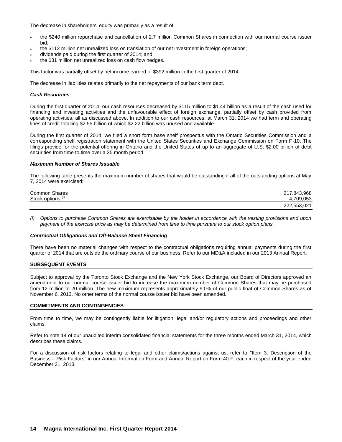The decrease in shareholders' equity was primarily as a result of:

- the \$240 million repurchase and cancellation of 2.7 million Common Shares in connection with our normal course issuer bid;
- the \$112 million net unrealized loss on translation of our net investment in foreign operations;
- dividends paid during the first quarter of 2014; and
- the \$31 million net unrealized loss on cash flow hedges.

This factor was partially offset by net income earned of \$392 million in the first quarter of 2014.

The decrease in liabilities relates primarily to the net repayments of our bank term debt.

#### *Cash Resources*

During the first quarter of 2014, our cash resources decreased by \$115 million to \$1.44 billion as a result of the cash used for financing and investing activities and the unfavourable effect of foreign exchange, partially offset by cash provided from operating activities, all as discussed above. In addition to our cash resources, at March 31, 2014 we had term and operating lines of credit totalling \$2.55 billion of which \$2.22 billion was unused and available.

During the first quarter of 2014, we filed a short form base shelf prospectus with the Ontario Securities Commission and a corresponding shelf registration statement with the United States Securities and Exchange Commission on Form F-10. The filings provide for the potential offering in Ontario and the United States of up to an aggregate of U.S. \$2.00 billion of debt securities from time to time over a 25 month period.

### *Maximum Number of Shares Issuable*

The following table presents the maximum number of shares that would be outstanding if all of the outstanding options at May 7, 2014 were exercised:

| <b>Common Shares</b> | 217,843,968 |
|----------------------|-------------|
| Stock options        | 709.053     |
|                      | 222,553,021 |

*(i) Options to purchase Common Shares are exercisable by the holder in accordance with the vesting provisions and upon payment of the exercise price as may be determined from time to time pursuant to our stock option plans.*

#### *Contractual Obligations and Off-Balance Sheet Financing*

There have been no material changes with respect to the contractual obligations requiring annual payments during the first quarter of 2014 that are outside the ordinary course of our business. Refer to our MD&A included in our 2013 Annual Report.

#### **SUBSEQUENT EVENTS**

Subject to approval by the Toronto Stock Exchange and the New York Stock Exchange, our Board of Directors approved an amendment to our normal course issuer bid to increase the maximum number of Common Shares that may be purchased from 12 million to 20 million. The new maximum represents approximately 9.0% of our public float of Common Shares as of November 6, 2013. No other terms of the normal course issuer bid have been amended.

#### **COMMITMENTS AND CONTINGENCIES**

From time to time, we may be contingently liable for litigation, legal and/or regulatory actions and proceedings and other claims.

Refer to note 14 of our unaudited interim consolidated financial statements for the three months ended March 31, 2014, which describes these claims.

For a discussion of risk factors relating to legal and other claims/actions against us, refer to "Item 3. Description of the Business – Risk Factors" in our Annual Information Form and Annual Report on Form 40-F, each in respect of the year ended December 31, 2013.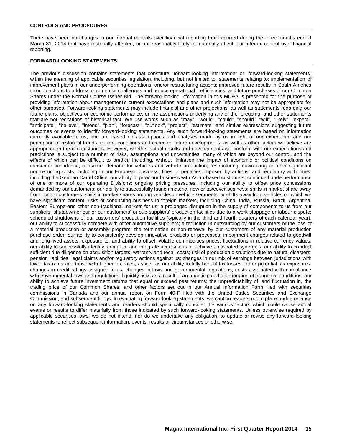### **CONTROLS AND PROCEDURES**

There have been no changes in our internal controls over financial reporting that occurred during the three months ended March 31, 2014 that have materially affected, or are reasonably likely to materially affect, our internal control over financial reporting.

### **FORWARD-LOOKING STATEMENTS**

The previous discussion contains statements that constitute "forward-looking information" or "forward-looking statements" within the meaning of applicable securities legislation, including, but not limited to, statements relating to: implementation of improvement plans in our underperforming operations, and/or restructuring actions; improved future results in South America through actions to address commercial challenges and reduce operational inefficiencies; and future purchases of our Common Shares under the Normal Course Issuer Bid. The forward-looking information in this MD&A is presented for the purpose of providing information about management's current expectations and plans and such information may not be appropriate for other purposes. Forward-looking statements may include financial and other projections, as well as statements regarding our future plans, objectives or economic performance, or the assumptions underlying any of the foregoing, and other statements that are not recitations of historical fact. We use words such as "may", "would", "could", "should", "will", "likely", "expect", "anticipate", "believe", "intend", "plan", "forecast", "outlook", "project", "estimate" and similar expressions suggesting future outcomes or events to identify forward-looking statements. Any such forward-looking statements are based on information currently available to us, and are based on assumptions and analyses made by us in light of our experience and our perception of historical trends, current conditions and expected future developments, as well as other factors we believe are appropriate in the circumstances. However, whether actual results and developments will conform with our expectations and predictions is subject to a number of risks, assumptions and uncertainties, many of which are beyond our control, and the effects of which can be difficult to predict, including, without limitation the impact of economic or political conditions on consumer confidence, consumer demand for vehicles and vehicle production; restructuring, downsizing or other significant non-recurring costs, including in our European business; fines or penalties imposed by antitrust and regulatory authorities, including the German Cartel Office; our ability to grow our business with Asian-based customers; continued underperformance of one or more of our operating Divisions; ongoing pricing pressures, including our ability to offset price concessions demanded by our customers; our ability to successfully launch material new or takeover business; shifts in market share away from our top customers; shifts in market shares among vehicles or vehicle segments, or shifts away from vehicles on which we have significant content; risks of conducting business in foreign markets, including China, India, Russia, Brazil, Argentina, Eastern Europe and other non-traditional markets for us; a prolonged disruption in the supply of components to us from our suppliers; shutdown of our or our customers' or sub-suppliers' production facilities due to a work stoppage or labour dispute; scheduled shutdowns of our customers' production facilities (typically in the third and fourth quarters of each calendar year); our ability to successfully compete with other automotive suppliers; a reduction in outsourcing by our customers or the loss of a material production or assembly program; the termination or non-renewal by our customers of any material production purchase order; our ability to consistently develop innovative products or processes; impairment charges related to goodwill and long-lived assets; exposure to, and ability to offset, volatile commodities prices; fluctuations in relative currency values; our ability to successfully identify, complete and integrate acquisitions or achieve anticipated synergies; our ability to conduct sufficient due diligence on acquisition targets; warranty and recall costs; risk of production disruptions due to natural disasters; pension liabilities; legal claims and/or regulatory actions against us; changes in our mix of earnings between jurisdictions with lower tax rates and those with higher tax rates, as well as our ability to fully benefit tax losses; other potential tax exposures; changes in credit ratings assigned to us; changes in laws and governmental regulations; costs associated with compliance with environmental laws and regulations; liquidity risks as a result of an unanticipated deterioration of economic conditions; our ability to achieve future investment returns that equal or exceed past returns; the unpredictability of, and fluctuation in, the trading price of our Common Shares; and other factors set out in our Annual Information Form filed with securities commissions in Canada and our annual report on Form 40-F filed with the United States Securities and Exchange Commission, and subsequent filings. In evaluating forward-looking statements, we caution readers not to place undue reliance on any forward-looking statements and readers should specifically consider the various factors which could cause actual events or results to differ materially from those indicated by such forward-looking statements. Unless otherwise required by applicable securities laws, we do not intend, nor do we undertake any obligation, to update or revise any forward-looking statements to reflect subsequent information, events, results or circumstances or otherwise.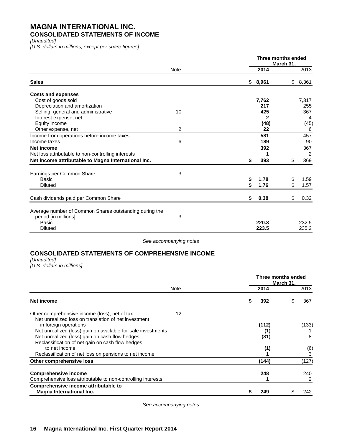### **MAGNA INTERNATIONAL INC. CONSOLIDATED STATEMENTS OF INCOME**

*[Unaudited]*

*[U.S. dollars in millions, except per share figures]*

| <b>March 31,</b> |                                                                                                           |
|------------------|-----------------------------------------------------------------------------------------------------------|
| 2014             | 2013                                                                                                      |
| \$8,961<br>\$    | 8,361                                                                                                     |
|                  |                                                                                                           |
| 7,762            | 7,317                                                                                                     |
|                  | 255                                                                                                       |
|                  | 367                                                                                                       |
|                  | 4                                                                                                         |
|                  | (45)                                                                                                      |
|                  | 6                                                                                                         |
|                  | 457                                                                                                       |
|                  | 90                                                                                                        |
|                  | 367                                                                                                       |
|                  | 2                                                                                                         |
| \$               | 369                                                                                                       |
|                  |                                                                                                           |
|                  | 1.59                                                                                                      |
| \$               | 1.57                                                                                                      |
| \$               | 0.32                                                                                                      |
|                  | 232.5<br>235.2                                                                                            |
|                  | 217<br>425<br>2<br>(48)<br>22<br>581<br>189<br>392<br>393<br>1.78<br>\$<br>1.76<br>0.38<br>220.3<br>223.5 |

*See accompanying notes*

### **CONSOLIDATED STATEMENTS OF COMPREHENSIVE INCOME**

*[Unaudited]*

*[U.S. dollars in millions]*

|                                                                                                        |      |   | Three months ended | March 31, |       |
|--------------------------------------------------------------------------------------------------------|------|---|--------------------|-----------|-------|
|                                                                                                        | Note |   | 2014               |           | 2013  |
| Net income                                                                                             |      | S | 392                | S         | 367   |
| Other comprehensive income (loss), net of tax:<br>Net unrealized loss on translation of net investment | 12   |   |                    |           |       |
| in foreign operations                                                                                  |      |   | (112)              |           | (133) |
| Net unrealized (loss) gain on available-for-sale investments                                           |      |   | (1)                |           |       |
| Net unrealized (loss) gain on cash flow hedges                                                         |      |   | (31)               |           | 8     |
| Reclassification of net gain on cash flow hedges                                                       |      |   |                    |           |       |
| to net income                                                                                          |      |   | (1)                |           | (6)   |
| Reclassification of net loss on pensions to net income                                                 |      |   |                    |           | 3     |
| Other comprehensive loss                                                                               |      |   | (144)              |           | (127) |
| <b>Comprehensive income</b>                                                                            |      |   | 248                |           | 240   |
| Comprehensive loss attributable to non-controlling interests                                           |      |   |                    |           | 2     |
| Comprehensive income attributable to<br>Magna International Inc.                                       |      | S | 249                |           | 242   |
|                                                                                                        |      |   |                    |           |       |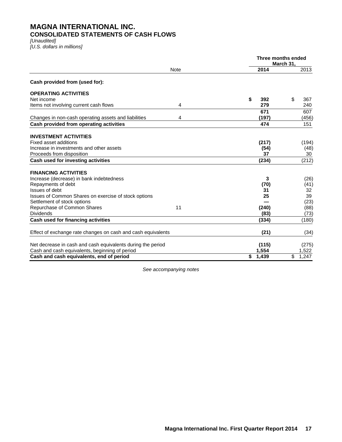### **MAGNA INTERNATIONAL INC. CONSOLIDATED STATEMENTS OF CASH FLOWS**

*[Unaudited]*

*[U.S. dollars in millions]*

|                                                              |             | Three months ended | March 31, |       |
|--------------------------------------------------------------|-------------|--------------------|-----------|-------|
|                                                              | <b>Note</b> | 2014               |           | 2013  |
| Cash provided from (used for):                               |             |                    |           |       |
| <b>OPERATING ACTIVITIES</b>                                  |             |                    |           |       |
| Net income                                                   |             | \$<br>392          | \$        | 367   |
| Items not involving current cash flows                       | 4           | 279                |           | 240   |
|                                                              |             | 671                |           | 607   |
| Changes in non-cash operating assets and liabilities         | 4           | (197)              |           | (456) |
| Cash provided from operating activities                      |             | 474                |           | 151   |
| <b>INVESTMENT ACTIVITIES</b>                                 |             |                    |           |       |
| Fixed asset additions                                        |             | (217)              |           | (194) |
| Increase in investments and other assets                     |             | (54)               |           | (48)  |
| Proceeds from disposition                                    |             | 37                 |           | 30    |
| Cash used for investing activities                           |             | (234)              |           | (212) |
| <b>FINANCING ACTIVITIES</b>                                  |             |                    |           |       |
| Increase (decrease) in bank indebtedness                     |             | 3                  |           | (26)  |
| Repayments of debt                                           |             | (70)               |           | (41)  |
| Issues of debt                                               |             | 31                 |           | 32    |
| Issues of Common Shares on exercise of stock options         |             | 25                 |           | 39    |
| Settlement of stock options                                  |             |                    |           | (23)  |
| Repurchase of Common Shares                                  | 11          | (240)              |           | (88)  |
| <b>Dividends</b>                                             |             | (83)               |           | (73)  |
| Cash used for financing activities                           |             | (334)              |           | (180) |
| Effect of exchange rate changes on cash and cash equivalents |             | (21)               |           | (34)  |
| Net decrease in cash and cash equivalents during the period  |             | (115)              |           | (275) |
| Cash and cash equivalents, beginning of period               |             | 1,554              |           | 1,522 |
| Cash and cash equivalents, end of period                     |             | \$<br>1,439        | \$        | 1,247 |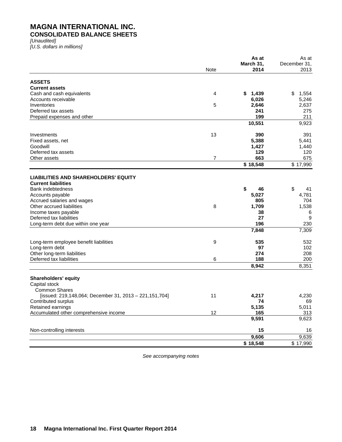# **MAGNA INTERNATIONAL INC.**

## **CONSOLIDATED BALANCE SHEETS**

*[Unaudited]*

*[U.S. dollars in millions]*

|                                                                               |             | As at             | As at                |
|-------------------------------------------------------------------------------|-------------|-------------------|----------------------|
|                                                                               | <b>Note</b> | March 31,<br>2014 | December 31,<br>2013 |
|                                                                               |             |                   |                      |
| <b>ASSETS</b>                                                                 |             |                   |                      |
| <b>Current assets</b>                                                         |             |                   |                      |
| Cash and cash equivalents                                                     | 4           | \$<br>1,439       | \$<br>1,554          |
| Accounts receivable                                                           |             | 6,026             | 5,246                |
| Inventories                                                                   | 5           | 2,646             | 2,637                |
| Deferred tax assets                                                           |             | 241               | 275                  |
| Prepaid expenses and other                                                    |             | 199               | 211                  |
|                                                                               |             | 10,551            | 9,923                |
| Investments                                                                   | 13          | 390               | 391                  |
| Fixed assets, net                                                             |             | 5,388             | 5,441                |
| Goodwill                                                                      |             | 1,427             | 1,440                |
| Deferred tax assets                                                           |             | 129               | 120                  |
| Other assets                                                                  | 7           | 663               | 675                  |
|                                                                               |             | \$18,548          | \$17,990             |
|                                                                               |             |                   |                      |
| <b>LIABILITIES AND SHAREHOLDERS' EQUITY</b><br><b>Current liabilities</b>     |             |                   |                      |
| <b>Bank indebtedness</b>                                                      |             | \$<br>46          | \$<br>41             |
| Accounts payable                                                              |             | 5,027             | 4,781                |
| Accrued salaries and wages                                                    |             | 805               | 704                  |
| Other accrued liabilities                                                     | 8           | 1,709             | 1,538                |
| Income taxes payable                                                          |             | 38                | 6                    |
| Deferred tax liabilities                                                      |             | 27                | 9                    |
| Long-term debt due within one year                                            |             | 196               | 230                  |
|                                                                               |             | 7,848             | 7,309                |
|                                                                               | 9           | 535               | 532                  |
| Long-term employee benefit liabilities<br>Long-term debt                      |             | 97                | 102                  |
| Other long-term liabilities                                                   |             | 274               | 208                  |
| Deferred tax liabilities                                                      | 6           | 188               | 200                  |
|                                                                               |             | 8,942             | 8,351                |
|                                                                               |             |                   |                      |
| <b>Shareholders' equity</b>                                                   |             |                   |                      |
| Capital stock<br><b>Common Shares</b>                                         |             |                   |                      |
|                                                                               | 11          |                   |                      |
| [issued: 219,148,064; December 31, 2013 - 221,151,704]<br>Contributed surplus |             | 4,217             | 4,230<br>69          |
| Retained earnings                                                             |             | 74<br>5,135       |                      |
| Accumulated other comprehensive income                                        | 12          | 165               | 5,011                |
|                                                                               |             | 9,591             | 313<br>9,623         |
|                                                                               |             |                   |                      |
| Non-controlling interests                                                     |             | 15<br>9,606       | 16<br>9,639          |
|                                                                               |             | \$18,548          | \$17,990             |
|                                                                               |             |                   |                      |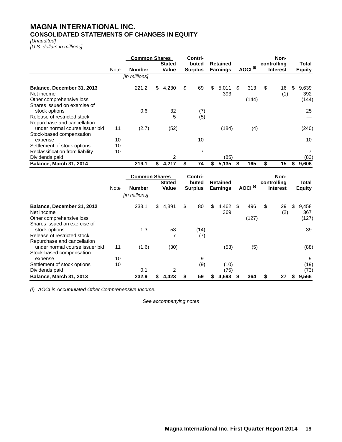### **MAGNA INTERNATIONAL INC. CONSOLIDATED STATEMENTS OF CHANGES IN EQUITY**

### *[Unaudited]*

*[U.S. dollars in millions]*

|                                               |      | <b>Common Shares</b> | <b>Stated</b> | Contri-<br>buted | <b>Retained</b>    |    |                     | Non-<br>controlling |    | Total         |
|-----------------------------------------------|------|----------------------|---------------|------------------|--------------------|----|---------------------|---------------------|----|---------------|
|                                               | Note | <b>Number</b>        | Value         | <b>Surplus</b>   | <b>Earnings</b>    |    | AOCI <sup>(i)</sup> | <b>Interest</b>     |    | <b>Equity</b> |
|                                               |      | [in millions]        |               |                  |                    |    |                     |                     |    |               |
| Balance, December 31, 2013<br>Net income      |      | 221.2                | \$<br>4,230   | \$<br>69         | \$<br>5,011<br>393 | \$ | 313                 | \$<br>16<br>(1)     | \$ | 9,639<br>392  |
| Other comprehensive loss                      |      |                      |               |                  |                    |    | (144)               |                     |    | (144)         |
| Shares issued on exercise of<br>stock options |      | 0.6                  | 32            | (7)              |                    |    |                     |                     |    | 25            |
| Release of restricted stock                   |      |                      | 5             | (5)              |                    |    |                     |                     |    |               |
| Repurchase and cancellation                   |      |                      |               |                  |                    |    |                     |                     |    |               |
| under normal course issuer bid                | 11   | (2.7)                | (52)          |                  | (184)              |    | (4)                 |                     |    | (240)         |
| Stock-based compensation                      |      |                      |               |                  |                    |    |                     |                     |    |               |
| expense                                       | 10   |                      |               | 10               |                    |    |                     |                     |    | 10            |
| Settlement of stock options                   | 10   |                      |               |                  |                    |    |                     |                     |    |               |
| Reclassification from liability               | 10   |                      |               | 7                |                    |    |                     |                     |    |               |
| Dividends paid                                |      |                      | 2             |                  | (85)               |    |                     |                     |    | (83)          |
| Balance, March 31, 2014                       |      | 219.1                | \$<br>4,217   | 74               | 5,135              | S  | 165                 | \$<br>15            | S  | 9,606         |

|                                |      | <b>Common Shares</b> |    |               | Contri-        |    |                 |     |                     | Non-            |    |               |
|--------------------------------|------|----------------------|----|---------------|----------------|----|-----------------|-----|---------------------|-----------------|----|---------------|
|                                |      |                      |    | <b>Stated</b> | buted          |    | <b>Retained</b> |     |                     | controlling     |    | <b>Total</b>  |
|                                | Note | <b>Number</b>        |    | Value         | <b>Surplus</b> |    | <b>Earnings</b> |     | AOCI <sup>(i)</sup> | <b>Interest</b> |    | <b>Equity</b> |
|                                |      | [in millions]        |    |               |                |    |                 |     |                     |                 |    |               |
| Balance, December 31, 2012     |      | 233.1                | \$ | 4,391         | \$<br>80       | \$ | 4,462           | -\$ | 496                 | \$<br>29        | \$ | 9,458         |
| Net income                     |      |                      |    |               |                |    | 369             |     |                     | (2)             |    | 367           |
| Other comprehensive loss       |      |                      |    |               |                |    |                 |     | (127)               |                 |    | (127)         |
| Shares issued on exercise of   |      |                      |    |               |                |    |                 |     |                     |                 |    |               |
| stock options                  |      | 1.3                  |    | 53            | (14)           |    |                 |     |                     |                 |    | 39            |
| Release of restricted stock    |      |                      |    | 7             | (7)            |    |                 |     |                     |                 |    |               |
| Repurchase and cancellation    |      |                      |    |               |                |    |                 |     |                     |                 |    |               |
| under normal course issuer bid | 11   | (1.6)                |    | (30)          |                |    | (53)            |     | (5)                 |                 |    | (88)          |
| Stock-based compensation       |      |                      |    |               |                |    |                 |     |                     |                 |    |               |
| expense                        | 10   |                      |    |               | 9              |    |                 |     |                     |                 |    | 9             |
| Settlement of stock options    | 10   |                      |    |               | (9)            |    | (10)            |     |                     |                 |    | (19)          |
| Dividends paid                 |      | 0.1                  |    | 2             |                |    | 75)             |     |                     |                 |    | (73)          |
| <b>Balance, March 31, 2013</b> |      | 232.9                | S  | 4.423         | 59             | S  | 4,693           |     | 364                 | \$<br>27        | S  | 9,566         |

*(i) AOCI is Accumulated Other Comprehensive Income.*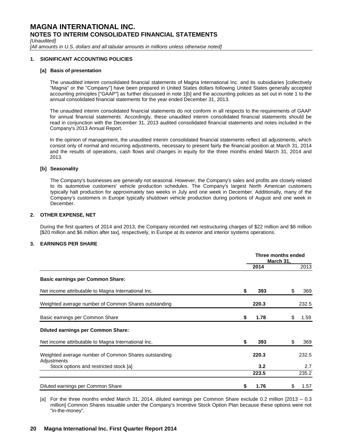*[Unaudited]*

[All amounts in U.S. dollars and all tabular amounts in millions unless otherwise noted]

### **1. SIGNIFICANT ACCOUNTING POLICIES**

### **[a] Basis of presentation**

The unaudited interim consolidated financial statements of Magna International Inc. and its subsidiaries [collectively "Magna" or the "Company"] have been prepared in United States dollars following United States generally accepted accounting principles ["GAAP"] as further discussed in note 1[b] and the accounting policies as set out in note 1 to the annual consolidated financial statements for the year ended December 31, 2013.

The unaudited interim consolidated financial statements do not conform in all respects to the requirements of GAAP for annual financial statements. Accordingly, these unaudited interim consolidated financial statements should be read in conjunction with the December 31, 2013 audited consolidated financial statements and notes included in the Company's 2013 Annual Report.

In the opinion of management, the unaudited interim consolidated financial statements reflect all adjustments, which consist only of normal and recurring adjustments, necessary to present fairly the financial position at March 31, 2014 and the results of operations, cash flows and changes in equity for the three months ended March 31, 2014 and 2013.

### **[b] Seasonality**

The Company's businesses are generally not seasonal. However, the Company's sales and profits are closely related to its automotive customers' vehicle production schedules. The Company's largest North American customers typically halt production for approximately two weeks in July and one week in December. Additionally, many of the Company's customers in Europe typically shutdown vehicle production during portions of August and one week in December.

### **2. OTHER EXPENSE, NET**

During the first quarters of 2014 and 2013, the Company recorded net restructuring charges of \$22 million and \$6 million [\$20 million and \$6 million after tax], respectively, in Europe at its exterior and interior systems operations.

### **3. EARNINGS PER SHARE**

|                                                                     | Three months ended<br>March 31, |       |   |       |
|---------------------------------------------------------------------|---------------------------------|-------|---|-------|
|                                                                     |                                 | 2014  |   | 2013  |
| <b>Basic earnings per Common Share:</b>                             |                                 |       |   |       |
| Net income attributable to Magna International Inc.                 | \$                              | 393   | S | 369   |
| Weighted average number of Common Shares outstanding                |                                 | 220.3 |   | 232.5 |
| Basic earnings per Common Share                                     | \$                              | 1.78  | S | 1.59  |
| <b>Diluted earnings per Common Share:</b>                           |                                 |       |   |       |
| Net income attributable to Magna International Inc.                 | \$                              | 393   | S | 369   |
| Weighted average number of Common Shares outstanding<br>Adjustments |                                 | 220.3 |   | 232.5 |
| Stock options and restricted stock [a]                              |                                 | 3.2   |   | 2.7   |
|                                                                     |                                 | 223.5 |   | 235.2 |
| Diluted earnings per Common Share                                   | \$                              | 1.76  |   | 1.57  |

[a] For the three months ended March 31, 2014, diluted earnings per Common Share exclude 0.2 million [2013 – 0.3 million] Common Shares issuable under the Company's Incentive Stock Option Plan because these options were not "in-the-money".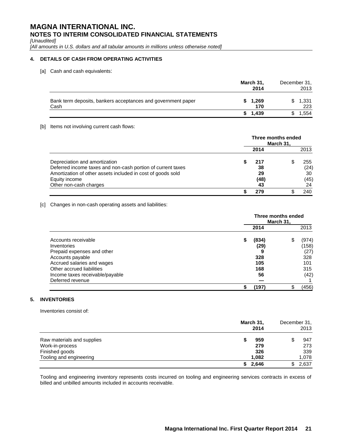*[Unaudited]*

[All amounts in U.S. dollars and all tabular amounts in millions unless otherwise noted]

### **4. DETAILS OF CASH FROM OPERATING ACTIVITIES**

[a] Cash and cash equivalents:

|                                                                      | March 31,<br>2014 | December 31, | 2013         |
|----------------------------------------------------------------------|-------------------|--------------|--------------|
| Bank term deposits, bankers acceptances and government paper<br>Cash | \$1,269<br>170    |              | 1,331<br>223 |
|                                                                      | \$1.439           |              | .554         |

### [b] Items not involving current cash flows:

|                                                             | Three months ended<br>March 31. |      |  |      |  |
|-------------------------------------------------------------|---------------------------------|------|--|------|--|
|                                                             |                                 | 2014 |  | 2013 |  |
| Depreciation and amortization                               |                                 | 217  |  | 255  |  |
| Deferred income taxes and non-cash portion of current taxes |                                 | 38   |  | (24) |  |
| Amortization of other assets included in cost of goods sold |                                 | 29   |  | 30   |  |
| Equity income                                               |                                 | (48) |  | (45) |  |
| Other non-cash charges                                      |                                 | 43   |  | 24   |  |
|                                                             |                                 | 279  |  | 240  |  |

### [c] Changes in non-cash operating assets and liabilities:

|                                 | Three months ended<br>March 31, |   |       |
|---------------------------------|---------------------------------|---|-------|
|                                 | 2014                            |   | 2013  |
| Accounts receivable             | \$<br>(834)                     | S | (974) |
| Inventories                     | (29)                            |   | (158) |
| Prepaid expenses and other      | 9                               |   | (27)  |
| Accounts payable                | 328                             |   | 328   |
| Accrued salaries and wages      | 105                             |   | 101   |
| Other accrued liabilities       | 168                             |   | 315   |
| Income taxes receivable/payable | 56                              |   | (42)  |
| Deferred revenue                |                                 |   |       |
|                                 | (197)                           |   | (456) |

### **5. INVENTORIES**

Inventories consist of:

|                            | March 31,<br>2014 | December 31,<br>2013 |
|----------------------------|-------------------|----------------------|
| Raw materials and supplies | 959<br>æ          | 947                  |
| Work-in-process            | 279               | 273                  |
| Finished goods             | 326               | 339                  |
| Tooling and engineering    | 1,082             | 1,078                |
|                            | 2,646             | 2,637                |

Tooling and engineering inventory represents costs incurred on tooling and engineering services contracts in excess of billed and unbilled amounts included in accounts receivable.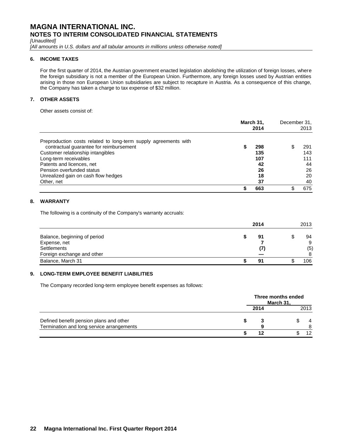*[Unaudited]*

[All amounts in U.S. dollars and all tabular amounts in millions unless otherwise noted]

### **6. INCOME TAXES**

For the first quarter of 2014, the Austrian government enacted legislation abolishing the utilization of foreign losses, where the foreign subsidiary is not a member of the European Union. Furthermore, any foreign losses used by Austrian entities arising in those non European Union subsidiaries are subject to recapture in Austria. As a consequence of this change, the Company has taken a charge to tax expense of \$32 million.

### **7. OTHER ASSETS**

Other assets consist of:

|                                                                 | March 31,<br>2014 | December 31, | 2013 |
|-----------------------------------------------------------------|-------------------|--------------|------|
| Preproduction costs related to long-term supply agreements with |                   |              |      |
| contractual guarantee for reimbursement                         | 298               |              | 291  |
| Customer relationship intangibles                               | 135               |              | 143  |
| Long-term receivables                                           | 107               |              | 111  |
| Patents and licences, net                                       | 42                |              | 44   |
| Pension overfunded status                                       | 26                |              | 26   |
| Unrealized gain on cash flow hedges                             | 18                |              | 20   |
| Other, net                                                      | 37                |              | 40   |
|                                                                 | 663               |              | 675  |

### **8. WARRANTY**

The following is a continuity of the Company's warranty accruals:

|                              | 2014 | 2013 |
|------------------------------|------|------|
| Balance, beginning of period | 91   | 94   |
| Expense, net                 |      | 9    |
| Settlements                  |      | (5)  |
| Foreign exchange and other   |      | 8    |
| Balance, March 31            | 91   | 106  |

### **9. LONG-TERM EMPLOYEE BENEFIT LIABILITIES**

The Company recorded long-term employee benefit expenses as follows:

|                                           |      | Three months ended<br>March 31. |      |
|-------------------------------------------|------|---------------------------------|------|
|                                           | 2014 |                                 | 2013 |
| Defined benefit pension plans and other   |      |                                 | 4    |
| Termination and long service arrangements |      |                                 | 8    |
|                                           | 12   |                                 | 12   |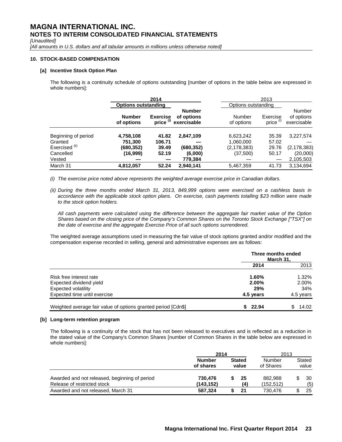*[Unaudited]*

[All amounts in U.S. dollars and all tabular amounts in millions unless otherwise noted]

### **10. STOCK-BASED COMPENSATION**

### **[a] Incentive Stock Option Plan**

The following is a continuity schedule of options outstanding [number of options in the table below are expressed in whole numbers]:

|                           |                             | 2014                                    |                                            |                      | 2013                             |                                            |
|---------------------------|-----------------------------|-----------------------------------------|--------------------------------------------|----------------------|----------------------------------|--------------------------------------------|
|                           | <b>Options outstanding</b>  |                                         |                                            | Options outstanding  |                                  |                                            |
|                           | <b>Number</b><br>of options | <b>Exercise</b><br>price <sup>(i)</sup> | <b>Number</b><br>of options<br>exercisable | Number<br>of options | Exercise<br>price <sup>(i)</sup> | <b>Number</b><br>of options<br>exercisable |
| Beginning of period       | 4,758,108                   | 41.82                                   | 2,847,109                                  | 6,623,242            | 35.39                            | 3,227,574                                  |
| Granted                   | 751,300                     | 106.71                                  |                                            | 1,060,000            | 57.02                            |                                            |
| Exercised <sup>(ii)</sup> | (680,352)                   | 39.49                                   | (680.352)                                  | (2, 178, 383)        | 29.76                            | (2, 178, 383)                              |
| Cancelled                 | (16,999)                    | 52.19                                   | (6,000)                                    | (37,500)             | 50.17                            | (20,000)                                   |
| Vested                    |                             |                                         | 779,384                                    |                      |                                  | 2,105,503                                  |
| March 31                  | 4,812,057                   | 52.24                                   | 2,940,141                                  | 5,467,359            | 41.73                            | 3,134,694                                  |

*(i) The exercise price noted above represents the weighted average exercise price in Canadian dollars.*

*(ii) During the three months ended March 31, 2013, 849,999 options were exercised on a cashless basis in accordance with the applicable stock option plans. On exercise, cash payments totalling \$23 million were made to the stock option holders.* 

*All cash payments were calculated using the difference between the aggregate fair market value of the Option Shares based on the closing price of the Company's Common Shares on the Toronto Stock Exchange ["TSX"] on the date of exercise and the aggregate Exercise Price of all such options surrendered.*

The weighted average assumptions used in measuring the fair value of stock options granted and/or modified and the compensation expense recorded in selling, general and administrative expenses are as follows:

|                                                               | Three months ended | March 31. |
|---------------------------------------------------------------|--------------------|-----------|
|                                                               | 2014               | 2013      |
| Risk free interest rate                                       | 1.60%              | 1.32%     |
| Expected dividend yield                                       | 2.00%              | 2.00%     |
| Expected volatility                                           | 29%                | 34%       |
| Expected time until exercise                                  | 4.5 years          | 4.5 years |
| Weighted average fair value of options granted period [Cdn\$] | 22.94              | 14.02     |

### **[b] Long-term retention program**

The following is a continuity of the stock that has not been released to executives and is reflected as a reduction in the stated value of the Company's Common Shares [number of Common Shares in the table below are expressed in whole numbers]:

|                                                                              | 2014                       |                        |           | 2013                  |  |                 |
|------------------------------------------------------------------------------|----------------------------|------------------------|-----------|-----------------------|--|-----------------|
|                                                                              | <b>Number</b><br>of shares | <b>Stated</b><br>value |           | Number<br>of Shares   |  | Stated<br>value |
| Awarded and not released, beginning of period<br>Release of restricted stock | 730.476<br>(143, 152)      |                        | 25<br>(4) | 882.988<br>(152, 512) |  | 30<br>(5)       |
| Awarded and not released, March 31                                           | 587.324                    |                        | 21        | 730.476               |  | 25              |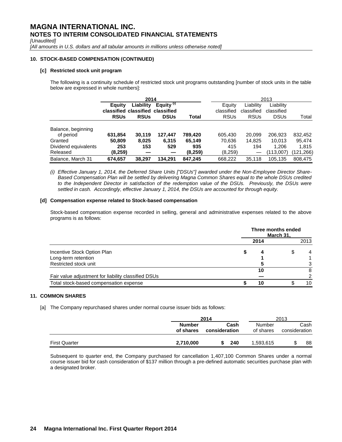*[Unaudited]*

[All amounts in U.S. dollars and all tabular amounts in millions unless otherwise noted]

### **10. STOCK-BASED COMPENSATION (CONTINUED)**

### **[c] Restricted stock unit program**

The following is a continuity schedule of restricted stock unit programs outstanding [number of stock units in the table below are expressed in whole numbers]:

|                      | 2014        |                                  |                       |         |             |             | 2013        |            |
|----------------------|-------------|----------------------------------|-----------------------|---------|-------------|-------------|-------------|------------|
|                      | Equity      | Liability                        | Equity <sup>(i)</sup> |         | Equity      | Liability   | Liability   |            |
|                      |             | classified classified classified |                       |         | classified  | classified  | classified  |            |
|                      | <b>RSUs</b> | <b>RSUs</b>                      | <b>DSUs</b>           | Total   | <b>RSUs</b> | <b>RSUs</b> | <b>DSUs</b> | Total      |
| Balance, beginning   |             |                                  |                       |         |             |             |             |            |
| of period            | 631.854     | 30.119                           | 127.447               | 789.420 | 605,430     | 20.099      | 206.923     | 832,452    |
| Granted              | 50.809      | 8,025                            | 6.315                 | 65.149  | 70,636      | 14.825      | 10.013      | 95.474     |
| Dividend equivalents | 253         | 153                              | 529                   | 935     | 415         | 194         | 1.206       | 1,815      |
| Released             | (8,259)     |                                  |                       | (8,259) | (8,259)     |             | (113,007)   | (121, 266) |
| Balance, March 31    | 674,657     | 38.297                           | 134.291               | 847,245 | 668,222     | 35,118      | 105.135     | 808.475    |

*(i) Effective January 1, 2014, the Deferred Share Units ["DSUs"] awarded under the Non-Employee Director Share-Based Compensation Plan will be settled by delivering Magna Common Shares equal to the whole DSUs credited*  to the Independent Director in satisfaction of the redemption value of the DSUs. Previously, the DSUs were *settled in cash. Accordingly, effective January 1, 2014, the DSUs are accounted for through equity.*

### **[d] Compensation expense related to Stock-based compensation**

Stock-based compensation expense recorded in selling, general and administrative expenses related to the above programs is as follows:

|                                                     |      | Three months ended<br>March 31, |      |
|-----------------------------------------------------|------|---------------------------------|------|
|                                                     | 2014 |                                 | 2013 |
| Incentive Stock Option Plan                         | 4    |                                 | 4    |
| Long-term retention                                 |      |                                 |      |
| Restricted stock unit                               |      |                                 | 3    |
|                                                     | 10   |                                 | 8    |
| Fair value adjustment for liability classified DSUs |      |                                 |      |
| Total stock-based compensation expense              | 10   |                                 | 10   |

### **11. COMMON SHARES**

[a] The Company repurchased shares under normal course issuer bids as follows:

|                      |                            | 2014                  | 2013                |                       |  |
|----------------------|----------------------------|-----------------------|---------------------|-----------------------|--|
|                      | <b>Number</b><br>of shares | Cash<br>consideration | Number<br>of shares | Cash<br>consideration |  |
| <b>First Quarter</b> | 2,710,000                  | 240                   | 1,593,615           | 88                    |  |

Subsequent to quarter end, the Company purchased for cancellation 1,407,100 Common Shares under a normal course issuer bid for cash consideration of \$137 million through a pre-defined automatic securities purchase plan with a designated broker.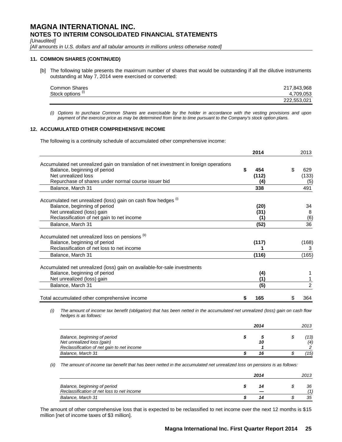*[Unaudited]*

[All amounts in U.S. dollars and all tabular amounts in millions unless otherwise noted]

### **11. COMMON SHARES (CONTINUED)**

[b] The following table presents the maximum number of shares that would be outstanding if all the dilutive instruments outstanding at May 7, 2014 were exercised or converted:

| <b>Common Shares</b>         | 217,843,968 |
|------------------------------|-------------|
| Stock options <sup>(i)</sup> | 4.709.053   |
|                              | 222,553,021 |

*(i) Options to purchase Common Shares are exercisable by the holder in accordance with the vesting provisions and upon payment of the exercise price as may be determined from time to time pursuant to the Company's stock option plans.*

### **12. ACCUMULATED OTHER COMPREHENSIVE INCOME**

The following is a continuity schedule of accumulated other comprehensive income:

|                                                                                                                                                               |    | 2014  |    | 2013           |
|---------------------------------------------------------------------------------------------------------------------------------------------------------------|----|-------|----|----------------|
| Accumulated net unrealized gain on translation of net investment in foreign operations                                                                        |    |       |    |                |
| Balance, beginning of period                                                                                                                                  | S  | 454   | \$ | 629            |
| Net unrealized loss                                                                                                                                           |    | (112) |    | (133)          |
| Repurchase of shares under normal course issuer bid                                                                                                           |    | (4)   |    | (5)            |
| Balance, March 31                                                                                                                                             |    | 338   |    | 491            |
| Accumulated net unrealized (loss) gain on cash flow hedges (i)                                                                                                |    |       |    |                |
| Balance, beginning of period                                                                                                                                  |    | (20)  |    | 34             |
| Net unrealized (loss) gain                                                                                                                                    |    | (31)  |    | 8              |
| Reclassification of net gain to net income                                                                                                                    |    | (1)   |    | (6)            |
| Balance, March 31                                                                                                                                             |    | (52)  |    | 36             |
| Accumulated net unrealized loss on pensions (ii)                                                                                                              |    |       |    |                |
| Balance, beginning of period                                                                                                                                  |    | (117) |    | (168)          |
| Reclassification of net loss to net income                                                                                                                    |    |       |    | 3              |
| Balance, March 31                                                                                                                                             |    | (116) |    | (165)          |
| Accumulated net unrealized (loss) gain on available-for-sale investments                                                                                      |    |       |    |                |
| Balance, beginning of period                                                                                                                                  |    | (4)   |    |                |
| Net unrealized (loss) gain                                                                                                                                    |    | (1)   |    |                |
| Balance, March 31                                                                                                                                             |    | (5)   |    | $\overline{2}$ |
| Total accumulated other comprehensive income                                                                                                                  | \$ | 165   | S  | 364            |
| The amount of income tax benefit (obligation) that has been netted in the accumulated net unrealized (loss) gain on cash flow<br>(i)<br>hedges is as follows: |    |       |    |                |
|                                                                                                                                                               |    | 2014  |    | 2013           |

|                                            | ----- |  |      |  |  |
|--------------------------------------------|-------|--|------|--|--|
| Balance, beginning of period               |       |  | '13) |  |  |
| Net unrealized loss (gain)                 | 10    |  | (4)  |  |  |
| Reclassification of net gain to net income |       |  |      |  |  |
| Balance, March 31                          |       |  | ′15) |  |  |

*(ii) The amount of income tax benefit that has been netted in the accumulated net unrealized loss on pensions is as follows:*

|                                                                            | 2014 |    |  |           |  |
|----------------------------------------------------------------------------|------|----|--|-----------|--|
| Balance, beginning of period<br>Reclassification of net loss to net income |      |    |  | 36<br>(1) |  |
| Balance, March 31                                                          |      | 14 |  | 35        |  |

The amount of other comprehensive loss that is expected to be reclassified to net income over the next 12 months is \$15 million [net of income taxes of \$3 million].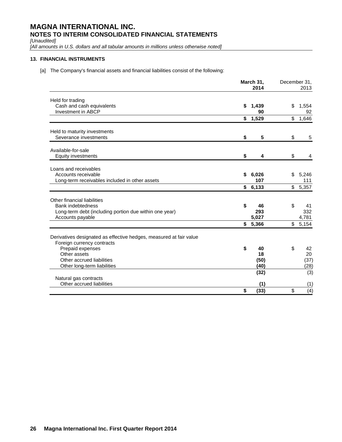*[Unaudited]*

[All amounts in U.S. dollars and all tabular amounts in millions unless otherwise noted]

### **13. FINANCIAL INSTRUMENTS**

[a] The Company's financial assets and financial liabilities consist of the following:

|                                                                                                                                | March 31,<br>2014             | December 31, | 2013                    |  |
|--------------------------------------------------------------------------------------------------------------------------------|-------------------------------|--------------|-------------------------|--|
| Held for trading<br>Cash and cash equivalents<br><b>Investment in ABCP</b>                                                     | \$<br>1,439<br>90             | \$           | 1,554<br>92             |  |
|                                                                                                                                | \$<br>1,529                   | \$           | 1,646                   |  |
| Held to maturity investments<br>Severance investments                                                                          | \$<br>5                       | \$           | 5                       |  |
| Available-for-sale<br><b>Equity investments</b>                                                                                | \$<br>4                       | \$           | 4                       |  |
| Loans and receivables<br>Accounts receivable<br>Long-term receivables included in other assets                                 | \$<br>6,026<br>107<br>\$6,133 | \$           | 5,246<br>111<br>\$5,357 |  |
|                                                                                                                                |                               |              |                         |  |
| Other financial liabilities<br>Bank indebtedness<br>Long-term debt (including portion due within one year)<br>Accounts payable | \$<br>46<br>293<br>5,027      | \$           | 41<br>332<br>4,781      |  |
|                                                                                                                                | \$<br>5,366                   | \$           | 5,154                   |  |
| Derivatives designated as effective hedges, measured at fair value<br>Foreign currency contracts<br>Prepaid expenses           | \$<br>40                      | \$           | 42                      |  |
| Other assets<br>Other accrued liabilities<br>Other long-term liabilities                                                       | 18<br>(50)<br>(40)            |              | 20<br>(37)<br>(28)      |  |
| Natural gas contracts                                                                                                          | (32)                          |              | (3)                     |  |
| Other accrued liabilities                                                                                                      | (1)                           |              | (1)                     |  |
|                                                                                                                                | \$<br>(33)                    | \$           | (4)                     |  |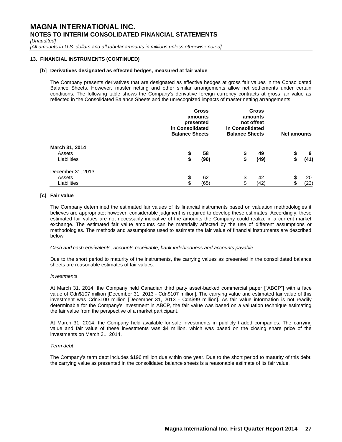*[Unaudited]*

[All amounts in U.S. dollars and all tabular amounts in millions unless otherwise noted]

### **13. FINANCIAL INSTRUMENTS (CONTINUED)**

### **[b] Derivatives designated as effected hedges, measured at fair value**

The Company presents derivatives that are designated as effective hedges at gross fair values in the Consolidated Balance Sheets. However, master netting and other similar arrangements allow net settlements under certain conditions. The following table shows the Company's derivative foreign currency contracts at gross fair value as reflected in the Consolidated Balance Sheets and the unrecognized impacts of master netting arrangements:

|                                            | in Consolidated<br><b>Balance Sheets</b> | <b>Gross</b><br>amounts<br>presented | <b>Gross</b><br>amounts<br>not offset<br>in Consolidated<br><b>Balance Sheets</b> | <b>Net amounts</b> |          |            |
|--------------------------------------------|------------------------------------------|--------------------------------------|-----------------------------------------------------------------------------------|--------------------|----------|------------|
| March 31, 2014<br>Assets<br>Liabilities    |                                          | 58<br>(90)                           |                                                                                   | 49<br>(49)         |          | 9<br>(41)  |
| December 31, 2013<br>Assets<br>Liabilities | \$<br>\$                                 | 62<br>(65)                           | \$<br>\$                                                                          | 42<br>(42)         | \$<br>\$ | 20<br>(23) |

### **[c] Fair value**

The Company determined the estimated fair values of its financial instruments based on valuation methodologies it believes are appropriate; however, considerable judgment is required to develop these estimates. Accordingly, these estimated fair values are not necessarily indicative of the amounts the Company could realize in a current market exchange. The estimated fair value amounts can be materially affected by the use of different assumptions or methodologies. The methods and assumptions used to estimate the fair value of financial instruments are described below:

*Cash and cash equivalents, accounts receivable, bank indebtedness and accounts payable.*

Due to the short period to maturity of the instruments, the carrying values as presented in the consolidated balance sheets are reasonable estimates of fair values.

#### *Investments*

At March 31, 2014, the Company held Canadian third party asset-backed commercial paper ["ABCP"] with a face value of Cdn\$107 million [December 31, 2013 - Cdn\$107 million]. The carrying value and estimated fair value of this investment was Cdn\$100 million [December 31, 2013 - Cdn\$99 million]. As fair value information is not readily determinable for the Company's investment in ABCP, the fair value was based on a valuation technique estimating the fair value from the perspective of a market participant.

At March 31, 2014, the Company held available-for-sale investments in publicly traded companies. The carrying value and fair value of these investments was \$4 million, which was based on the closing share price of the investments on March 31, 2014.

### *Term debt*

The Company's term debt includes \$196 million due within one year. Due to the short period to maturity of this debt, the carrying value as presented in the consolidated balance sheets is a reasonable estimate of its fair value.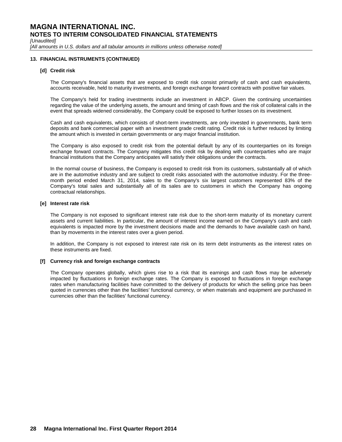*[Unaudited]*

[All amounts in U.S. dollars and all tabular amounts in millions unless otherwise noted]

### **13. FINANCIAL INSTRUMENTS (CONTINUED)**

### **[d] Credit risk**

The Company's financial assets that are exposed to credit risk consist primarily of cash and cash equivalents, accounts receivable, held to maturity investments, and foreign exchange forward contracts with positive fair values.

The Company's held for trading investments include an investment in ABCP. Given the continuing uncertainties regarding the value of the underlying assets, the amount and timing of cash flows and the risk of collateral calls in the event that spreads widened considerably, the Company could be exposed to further losses on its investment.

Cash and cash equivalents, which consists of short-term investments, are only invested in governments, bank term deposits and bank commercial paper with an investment grade credit rating. Credit risk is further reduced by limiting the amount which is invested in certain governments or any major financial institution.

The Company is also exposed to credit risk from the potential default by any of its counterparties on its foreign exchange forward contracts. The Company mitigates this credit risk by dealing with counterparties who are major financial institutions that the Company anticipates will satisfy their obligations under the contracts.

In the normal course of business, the Company is exposed to credit risk from its customers, substantially all of which are in the automotive industry and are subject to credit risks associated with the automotive industry. For the threemonth period ended March 31, 2014, sales to the Company's six largest customers represented 83% of the Company's total sales and substantially all of its sales are to customers in which the Company has ongoing contractual relationships.

### **[e] Interest rate risk**

The Company is not exposed to significant interest rate risk due to the short-term maturity of its monetary current assets and current liabilities. In particular, the amount of interest income earned on the Company's cash and cash equivalents is impacted more by the investment decisions made and the demands to have available cash on hand, than by movements in the interest rates over a given period.

In addition, the Company is not exposed to interest rate risk on its term debt instruments as the interest rates on these instruments are fixed.

### **[f] Currency risk and foreign exchange contracts**

The Company operates globally, which gives rise to a risk that its earnings and cash flows may be adversely impacted by fluctuations in foreign exchange rates. The Company is exposed to fluctuations in foreign exchange rates when manufacturing facilities have committed to the delivery of products for which the selling price has been quoted in currencies other than the facilities' functional currency, or when materials and equipment are purchased in currencies other than the facilities' functional currency.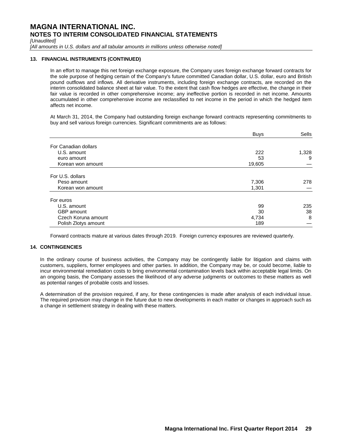*[Unaudited]*

[All amounts in U.S. dollars and all tabular amounts in millions unless otherwise noted]

### **13. FINANCIAL INSTRUMENTS (CONTINUED)**

In an effort to manage this net foreign exchange exposure, the Company uses foreign exchange forward contracts for the sole purpose of hedging certain of the Company's future committed Canadian dollar, U.S. dollar, euro and British pound outflows and inflows. All derivative instruments, including foreign exchange contracts, are recorded on the interim consolidated balance sheet at fair value. To the extent that cash flow hedges are effective, the change in their fair value is recorded in other comprehensive income; any ineffective portion is recorded in net income. Amounts accumulated in other comprehensive income are reclassified to net income in the period in which the hedged item affects net income.

At March 31, 2014, the Company had outstanding foreign exchange forward contracts representing commitments to buy and sell various foreign currencies. Significant commitments are as follows:

|                      | <b>Buys</b> | Sells |
|----------------------|-------------|-------|
| For Canadian dollars |             |       |
| U.S. amount          | 222         | 1,328 |
| euro amount          | 53          | 9     |
| Korean won amount    | 19,605      |       |
| For U.S. dollars     |             |       |
| Peso amount          | 7,306       | 278   |
| Korean won amount    | 1,301       |       |
| For euros            |             |       |
| U.S. amount          | 99          | 235   |
| GBP amount           | 30          | 38    |
| Czech Koruna amount  | 4,734       | 8     |
| Polish Zlotys amount | 189         |       |

Forward contracts mature at various dates through 2019. Foreign currency exposures are reviewed quarterly.

### **14. CONTINGENCIES**

In the ordinary course of business activities, the Company may be contingently liable for litigation and claims with customers, suppliers, former employees and other parties. In addition, the Company may be, or could become, liable to incur environmental remediation costs to bring environmental contamination levels back within acceptable legal limits. On an ongoing basis, the Company assesses the likelihood of any adverse judgments or outcomes to these matters as well as potential ranges of probable costs and losses.

A determination of the provision required, if any, for these contingencies is made after analysis of each individual issue. The required provision may change in the future due to new developments in each matter or changes in approach such as a change in settlement strategy in dealing with these matters.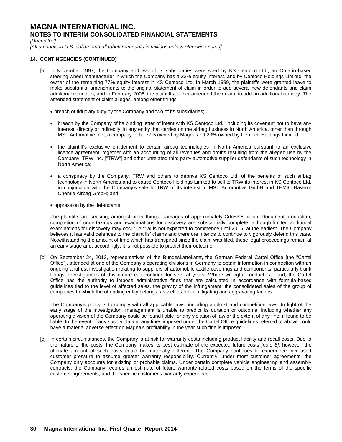*[Unaudited]*

[All amounts in U.S. dollars and all tabular amounts in millions unless otherwise noted]

### **14. CONTINGENCIES (CONTINUED)**

- [a] In November 1997, the Company and two of its subsidiaries were sued by KS Centoco Ltd., an Ontario-based steering wheel manufacturer in which the Company has a 23% equity interest, and by Centoco Holdings Limited, the owner of the remaining 77% equity interest in KS Centoco Ltd. In March 1999, the plaintiffs were granted leave to make substantial amendments to the original statement of claim in order to add several new defendants and claim additional remedies, and in February 2006, the plaintiffs further amended their claim to add an additional remedy. The amended statement of claim alleges, among other things:
	- breach of fiduciary duty by the Company and two of its subsidiaries;
	- breach by the Company of its binding letter of intent with KS Centoco Ltd., including its covenant not to have any interest, directly or indirectly, in any entity that carries on the airbag business in North America, other than through MST Automotive Inc., a company to be 77% owned by Magna and 23% owned by Centoco Holdings Limited;
	- the plaintiff's exclusive entitlement to certain airbag technologies in North America pursuant to an exclusive licence agreement, together with an accounting of all revenues and profits resulting from the alleged use by the Company, TRW Inc. ["TRW"] and other unrelated third party automotive supplier defendants of such technology in North America;
	- a conspiracy by the Company, TRW and others to deprive KS Centoco Ltd. of the benefits of such airbag technology in North America and to cause Centoco Holdings Limited to sell to TRW its interest in KS Centoco Ltd. in conjunction with the Company's sale to TRW of its interest in MST Automotive GmbH and TEMIC Bayern-Chemie Airbag GmbH; and
	- oppression by the defendants.

The plaintiffs are seeking, amongst other things, damages of approximately Cdn\$3.5 billion. Document production, completion of undertakings and examinations for discovery are substantially complete, although limited additional examinations for discovery may occur. A trial is not expected to commence until 2015, at the earliest. The Company believes it has valid defences to the plaintiffs' claims and therefore intends to continue to vigorously defend this case. Notwithstanding the amount of time which has transpired since the claim was filed, these legal proceedings remain at an early stage and, accordingly, it is not possible to predict their outcome.

[b] On September 24, 2013, representatives of the Bundeskartellamt, the German Federal Cartel Office [the "Cartel Office"], attended at one of the Company's operating divisions in Germany to obtain information in connection with an ongoing antitrust investigation relating to suppliers of automobile textile coverings and components, particularly trunk linings. Investigations of this nature can continue for several years. Where wrongful conduct is found, the Cartel Office has the authority to impose administrative fines that are calculated in accordance with formula-based guidelines tied to the level of affected sales, the gravity of the infringement, the consolidated sales of the group of companies to which the offending entity belongs, as well as other mitigating and aggravating factors.

The Company's policy is to comply with all applicable laws, including antitrust and competition laws. In light of the early stage of the investigation, management is unable to predict its duration or outcome, including whether any operating division of the Company could be found liable for any violation of law or the extent of any fine, if found to be liable. In the event of any such violation, any fines imposed under the Cartel Office guidelines referred to above could have a material adverse effect on Magna's profitability in the year such fine is imposed.

[c] In certain circumstances, the Company is at risk for warranty costs including product liability and recall costs. Due to the nature of the costs, the Company makes its best estimate of the expected future costs *[note 8]*; however, the ultimate amount of such costs could be materially different. The Company continues to experience increased customer pressure to assume greater warranty responsibility. Currently, under most customer agreements, the Company only accounts for existing or probable claims. Under certain complete vehicle engineering and assembly contracts, the Company records an estimate of future warranty-related costs based on the terms of the specific customer agreements, and the specific customer's warranty experience.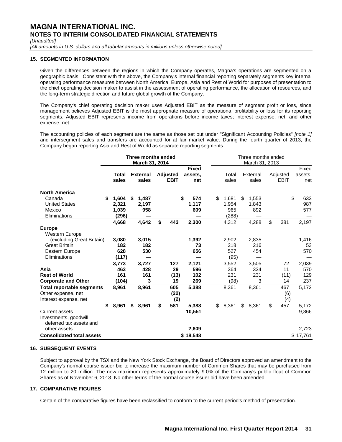*[Unaudited]*

[All amounts in U.S. dollars and all tabular amounts in millions unless otherwise noted]

### **15. SEGMENTED INFORMATION**

Given the differences between the regions in which the Company operates, Magna's operations are segmented on a geographic basis. Consistent with the above, the Company's internal financial reporting separately segments key internal operating performance measures between North America, Europe, Asia and Rest of World for purposes of presentation to the chief operating decision maker to assist in the assessment of operating performance, the allocation of resources, and the long-term strategic direction and future global growth of the Company.

The Company's chief operating decision maker uses Adjusted EBIT as the measure of segment profit or loss, since management believes Adjusted EBIT is the most appropriate measure of operational profitability or loss for its reporting segments. Adjusted EBIT represents income from operations before income taxes; interest expense, net; and other expense, net.

The accounting policies of each segment are the same as those set out under "Significant Accounting Policies" *[note 1]* and intersegment sales and transfers are accounted for at fair market value. During the fourth quarter of 2013, the Company began reporting Asia and Rest of World as separate reporting segments.

|                                                                                  |                                        | Three months ended<br>March 31, 2014 |                                |                                | Three months ended<br>March 31, 2013 |                                     |    |                          |    |                         |                            |
|----------------------------------------------------------------------------------|----------------------------------------|--------------------------------------|--------------------------------|--------------------------------|--------------------------------------|-------------------------------------|----|--------------------------|----|-------------------------|----------------------------|
|                                                                                  | Total<br>sales                         | <b>External</b><br>sales             | <b>Adjusted</b><br><b>EBIT</b> | <b>Fixed</b><br>assets.<br>net |                                      | Total<br>sales                      |    | External<br>sales        |    | Adjusted<br><b>EBIT</b> | Fixed<br>assets,<br>net    |
| <b>North America</b><br>Canada<br><b>United States</b><br>Mexico<br>Eliminations | \$<br>1,604<br>2,321<br>1,039<br>(296) | \$<br>1,487<br>2,197<br>958          |                                | \$<br>574<br>1,117<br>609      | \$                                   | 1,681<br>1,954<br>965<br>(288)      | \$ | 1,553<br>1,843<br>892    |    |                         | \$<br>633<br>987<br>577    |
| <b>Europe</b><br><b>Western Europe</b>                                           | 4,668                                  | 4,642                                | \$<br>443                      | 2,300                          |                                      | 4,312                               |    | 4,288                    | \$ | 381                     | 2,197                      |
| (excluding Great Britain)<br><b>Great Britain</b><br>Eastern Europe              | 3,080<br>182<br>628                    | 3,015<br>182<br>530                  |                                | 1,392<br>73<br>656             |                                      | 2,902<br>218<br>527                 |    | 2,835<br>216<br>454      |    |                         | 1,416<br>53<br>570         |
| Eliminations<br>Asia<br><b>Rest of World</b><br><b>Corporate and Other</b>       | (117)<br>3,773<br>463<br>161<br>(104)  | 3,727<br>428<br>161<br>3             | 127<br>29<br>(13)<br>19        | 2,121<br>596<br>102<br>269     |                                      | (95)<br>3,552<br>364<br>231<br>(98) |    | 3,505<br>334<br>231<br>3 |    | 72<br>11<br>(11)<br>14  | 2,039<br>570<br>129<br>237 |
| <b>Total reportable segments</b><br>Other expense, net<br>Interest expense, net  | 8,961                                  | 8,961                                | 605<br>(22)<br>(2)             | 5,388                          |                                      | 8,361                               |    | 8,361                    |    | 467<br>(6)<br>(4)       | 5,172                      |
| <b>Current assets</b><br>Investments, goodwill,<br>deferred tax assets and       | \$<br>8,961                            | \$<br>8,961                          | \$<br>581                      | 5,388<br>10,551                | \$                                   | 8,361                               | \$ | 8,361                    | \$ | 457                     | 5,172<br>9,866             |
| other assets<br><b>Consolidated total assets</b>                                 |                                        |                                      |                                | 2,609<br>\$18,548              |                                      |                                     |    |                          |    |                         | 2,723<br>\$17,761          |

### **16. SUBSEQUENT EVENTS**

Subject to approval by the TSX and the New York Stock Exchange, the Board of Directors approved an amendment to the Company's normal course issuer bid to increase the maximum number of Common Shares that may be purchased from 12 million to 20 million. The new maximum represents approximately 9.0% of the Company's public float of Common Shares as of November 6, 2013. No other terms of the normal course issuer bid have been amended.

### **17. COMPARATIVE FIGURES**

Certain of the comparative figures have been reclassified to conform to the current period's method of presentation.